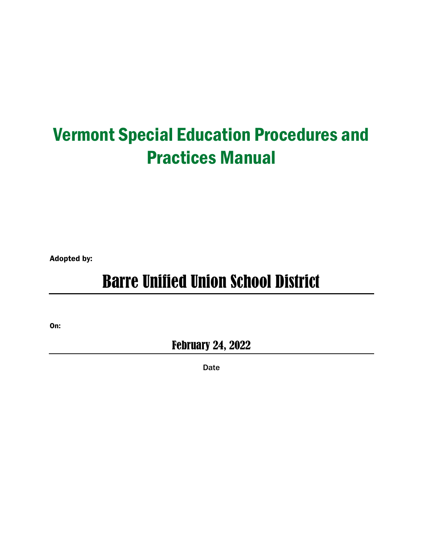# Vermont Special Education Procedures and Practices Manual

Adopted by:

# Barre Unified Union School District

On:

February 24, 2022

Date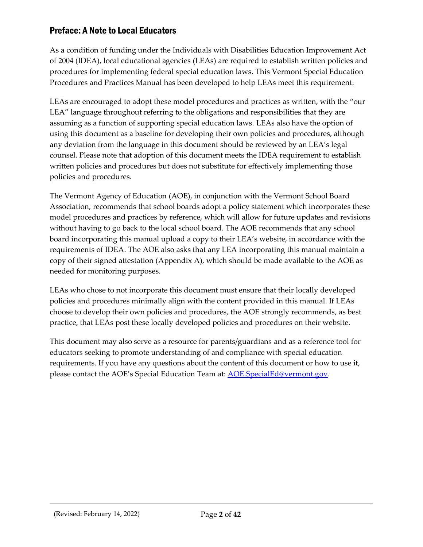## <span id="page-1-0"></span>Preface: A Note to Local Educators

As a condition of funding under the Individuals with Disabilities Education Improvement Act of 2004 (IDEA), local educational agencies (LEAs) are required to establish written policies and procedures for implementing federal special education laws. This Vermont Special Education Procedures and Practices Manual has been developed to help LEAs meet this requirement.

LEAs are encouraged to adopt these model procedures and practices as written, with the "our LEA" language throughout referring to the obligations and responsibilities that they are assuming as a function of supporting special education laws. LEAs also have the option of using this document as a baseline for developing their own policies and procedures, although any deviation from the language in this document should be reviewed by an LEA's legal counsel. Please note that adoption of this document meets the IDEA requirement to establish written policies and procedures but does not substitute for effectively implementing those policies and procedures.

The Vermont Agency of Education (AOE), in conjunction with the Vermont School Board Association, recommends that school boards adopt a policy statement which incorporates these model procedures and practices by reference, which will allow for future updates and revisions without having to go back to the local school board. The AOE recommends that any school board incorporating this manual upload a copy to their LEA's website, in accordance with the requirements of IDEA. The AOE also asks that any LEA incorporating this manual maintain a copy of their signed attestation (Appendix A), which should be made available to the AOE as needed for monitoring purposes.

LEAs who chose to not incorporate this document must ensure that their locally developed policies and procedures minimally align with the content provided in this manual. If LEAs choose to develop their own policies and procedures, the AOE strongly recommends, as best practice, that LEAs post these locally developed policies and procedures on their website.

This document may also serve as a resource for parents/guardians and as a reference tool for educators seeking to promote understanding of and compliance with special education requirements. If you have any questions about the content of this document or how to use it, please contact the AOE's Special Education Team at: [AOE.SpecialEd@vermont.gov.](mailto:AOE.SpecialEd@vermont.gov)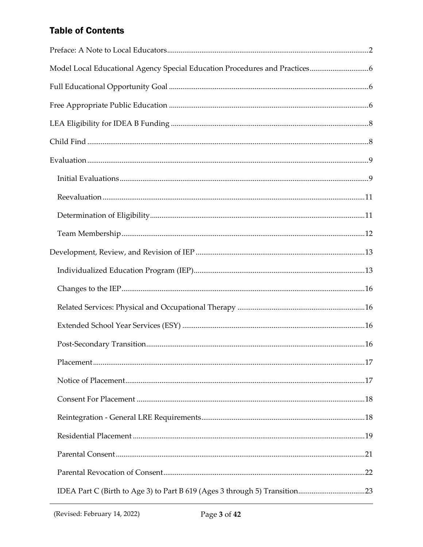# **Table of Contents**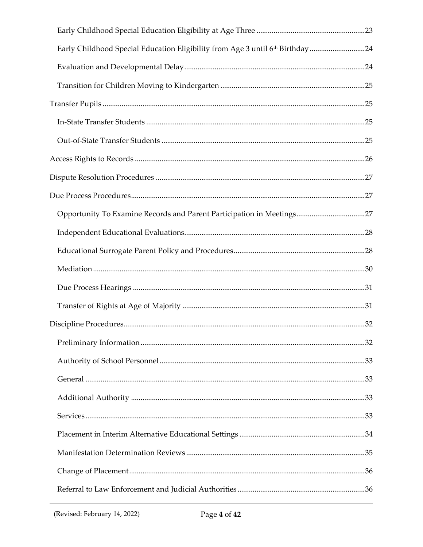| Early Childhood Special Education Eligibility from Age 3 until 6th Birthday 24 |  |
|--------------------------------------------------------------------------------|--|
|                                                                                |  |
|                                                                                |  |
|                                                                                |  |
|                                                                                |  |
|                                                                                |  |
|                                                                                |  |
|                                                                                |  |
|                                                                                |  |
| Opportunity To Examine Records and Parent Participation in Meetings27          |  |
|                                                                                |  |
|                                                                                |  |
|                                                                                |  |
|                                                                                |  |
|                                                                                |  |
|                                                                                |  |
|                                                                                |  |
|                                                                                |  |
|                                                                                |  |
|                                                                                |  |
|                                                                                |  |
|                                                                                |  |
|                                                                                |  |
|                                                                                |  |
|                                                                                |  |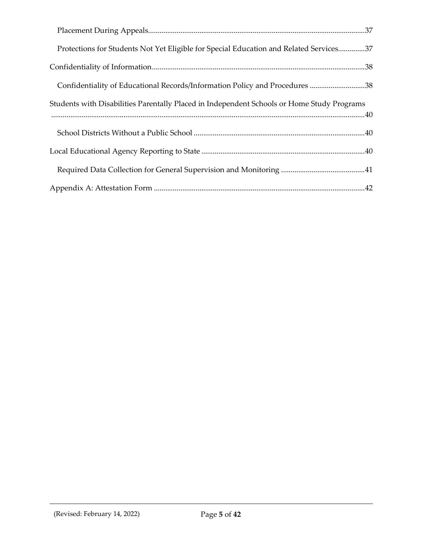| Protections for Students Not Yet Eligible for Special Education and Related Services37     |
|--------------------------------------------------------------------------------------------|
|                                                                                            |
| Confidentiality of Educational Records/Information Policy and Procedures 38                |
| Students with Disabilities Parentally Placed in Independent Schools or Home Study Programs |
|                                                                                            |
|                                                                                            |
|                                                                                            |
|                                                                                            |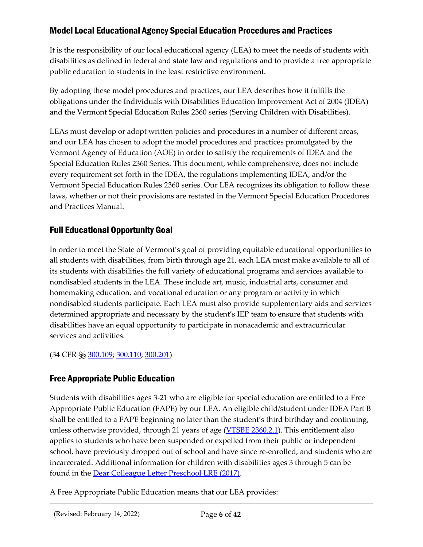## <span id="page-5-0"></span>Model Local Educational Agency Special Education Procedures and Practices

It is the responsibility of our local educational agency (LEA) to meet the needs of students with disabilities as defined in federal and state law and regulations and to provide a free appropriate public education to students in the least restrictive environment.

By adopting these model procedures and practices, our LEA describes how it fulfills the obligations under the Individuals with Disabilities Education Improvement Act of 2004 (IDEA) and the Vermont Special Education Rules 2360 series (Serving Children with Disabilities).

LEAs must develop or adopt written policies and procedures in a number of different areas, and our LEA has chosen to adopt the model procedures and practices promulgated by the Vermont Agency of Education (AOE) in order to satisfy the requirements of IDEA and the Special Education Rules 2360 Series. This document, while comprehensive, does not include every requirement set forth in the IDEA, the regulations implementing IDEA, and/or the Vermont Special Education Rules 2360 series. Our LEA recognizes its obligation to follow these laws, whether or not their provisions are restated in the Vermont Special Education Procedures and Practices Manual.

# <span id="page-5-1"></span>Full Educational Opportunity Goal

In order to meet the State of Vermont's goal of providing equitable educational opportunities to all students with disabilities, from birth through age 21, each LEA must make available to all of its students with disabilities the full variety of educational programs and services available to nondisabled students in the LEA. These include art, music, industrial arts, consumer and homemaking education, and vocational education or any program or activity in which nondisabled students participate. Each LEA must also provide supplementary aids and services determined appropriate and necessary by the student's IEP team to ensure that students with disabilities have an equal opportunity to participate in nonacademic and extracurricular services and activities.

(34 CFR §§ [300.109;](https://sites.ed.gov/idea/regs/b/b/300.109) [300.110;](https://sites.ed.gov/idea/regs/b/b/300.110) [300.201\)](https://sites.ed.gov/idea/regs/b/c/300.201)

# <span id="page-5-2"></span>Free Appropriate Public Education

Students with disabilities ages 3-21 who are eligible for special education are entitled to a Free Appropriate Public Education (FAPE) by our LEA. An eligible child/student under IDEA Part B shall be entitled to a FAPE beginning no later than the student's third birthday and continuing, unless otherwise provided, through 21 years of age [\(VTSBE 2360.2.1\)](https://education.vermont.gov/sites/aoe/files/documents/edu-series-2360-special-education-rules.pdf#page=11). This entitlement also applies to students who have been suspended or expelled from their public or independent school, have previously dropped out of school and have since re-enrolled, and students who are incarcerated. Additional information for children with disabilities ages 3 through 5 can be found in the [Dear Colleague Letter Preschool LRE \(2017\).](https://sites.ed.gov/idea/files/policy_speced_guid_idea_memosdcltrs_preschool-lre-dcl-1-10-17.pdf)

A Free Appropriate Public Education means that our LEA provides: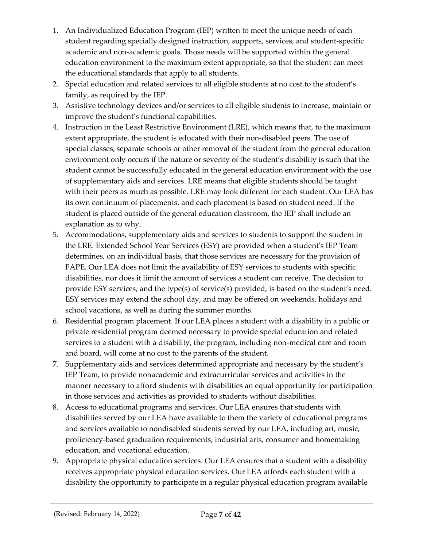- 1. An Individualized Education Program (IEP) written to meet the unique needs of each student regarding specially designed instruction, supports, services, and student-specific academic and non-academic goals. Those needs will be supported within the general education environment to the maximum extent appropriate, so that the student can meet the educational standards that apply to all students.
- 2. Special education and related services to all eligible students at no cost to the student's family, as required by the IEP.
- 3. Assistive technology devices and/or services to all eligible students to increase, maintain or improve the student's functional capabilities.
- 4. Instruction in the Least Restrictive Environment (LRE), which means that, to the maximum extent appropriate, the student is educated with their non-disabled peers. The use of special classes, separate schools or other removal of the student from the general education environment only occurs if the nature or severity of the student's disability is such that the student cannot be successfully educated in the general education environment with the use of supplementary aids and services. LRE means that eligible students should be taught with their peers as much as possible. LRE may look different for each student. Our LEA has its own continuum of placements, and each placement is based on student need. If the student is placed outside of the general education classroom, the IEP shall include an explanation as to why.
- 5. Accommodations, supplementary aids and services to students to support the student in the LRE. Extended School Year Services (ESY) are provided when a student's IEP Team determines, on an individual basis, that those services are necessary for the provision of FAPE. Our LEA does not limit the availability of ESY services to students with specific disabilities, nor does it limit the amount of services a student can receive. The decision to provide ESY services, and the type(s) of service(s) provided, is based on the student's need. ESY services may extend the school day, and may be offered on weekends, holidays and school vacations, as well as during the summer months.
- 6. Residential program placement. If our LEA places a student with a disability in a public or private residential program deemed necessary to provide special education and related services to a student with a disability, the program, including non-medical care and room and board, will come at no cost to the parents of the student.
- 7. Supplementary aids and services determined appropriate and necessary by the student's IEP Team, to provide nonacademic and extracurricular services and activities in the manner necessary to afford students with disabilities an equal opportunity for participation in those services and activities as provided to students without disabilities.
- 8. Access to educational programs and services. Our LEA ensures that students with disabilities served by our LEA have available to them the variety of educational programs and services available to nondisabled students served by our LEA, including art, music, proficiency-based graduation requirements, industrial arts, consumer and homemaking education, and vocational education.
- 9. Appropriate physical education services. Our LEA ensures that a student with a disability receives appropriate physical education services. Our LEA affords each student with a disability the opportunity to participate in a regular physical education program available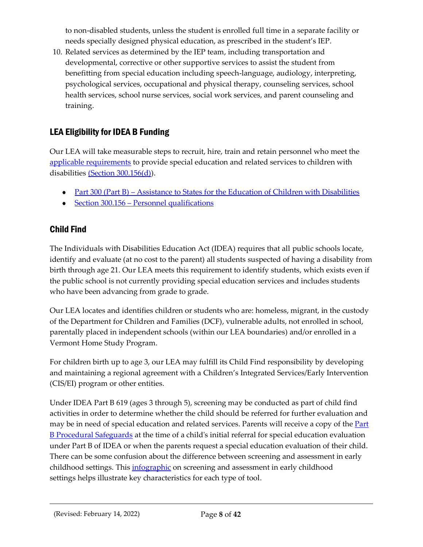to non-disabled students, unless the student is enrolled full time in a separate facility or needs specially designed physical education, as prescribed in the student's IEP.

10. Related services as determined by the IEP team, including transportation and developmental, corrective or other supportive services to assist the student from benefitting from special education including speech-language, audiology, interpreting, psychological services, occupational and physical therapy, counseling services, school health services, school nurse services, social work services, and parent counseling and training.

# <span id="page-7-0"></span>LEA Eligibility for IDEA B Funding

Our LEA will take measurable steps to recruit, hire, train and retain personnel who meet the [applicable requirements](https://sites.ed.gov/idea/regs/b/b/300.156/c) to provide special education and related services to children with disabilities [\(Section 300.156\(d\)\)](https://sites.ed.gov/idea/regs/b/b/300.156/d).

- Part 300 (Part B) [Assistance to States for the Education of Children with Disabilities](https://sites.ed.gov/idea/regs/b)
- Section 300.156 [Personnel qualifications](https://sites.ed.gov/idea/regs/b/b/300.156)

# <span id="page-7-1"></span>Child Find

The Individuals with Disabilities Education Act (IDEA) requires that all public schools locate, identify and evaluate (at no cost to the parent) all students suspected of having a disability from birth through age 21. Our LEA meets this requirement to identify students, which exists even if the public school is not currently providing special education services and includes students who have been advancing from grade to grade.

Our LEA locates and identifies children or students who are: homeless, migrant, in the custody of the Department for Children and Families (DCF), vulnerable adults, not enrolled in school, parentally placed in independent schools (within our LEA boundaries) and/or enrolled in a Vermont Home Study Program.

For children birth up to age 3, our LEA may fulfill its Child Find responsibility by developing and maintaining a regional agreement with a Children's Integrated Services/Early Intervention (CIS/EI) program or other entities.

Under IDEA Part B 619 (ages 3 through 5), screening may be conducted as part of child find activities in order to determine whether the child should be referred for further evaluation and may be in need of special education and related services. Parents will receive a copy of the **Part** [B Procedural Safeguards](https://education.vermont.gov/documents/notice-of-procedural-safeguards-rights-of-parents-of-students-with-disabilities) at the time of a child's initial referral for special education evaluation under Part B of IDEA or when the parents request a special education evaluation of their child. There can be some confusion about the difference between screening and assessment in early childhood settings. This *[infographic](https://agesandstages.com/wp-content/uploads/2017/09/Screening-and-assessment-in-early-childhood-1.pdf)* on screening and assessment in early childhood settings helps illustrate key characteristics for each type of tool.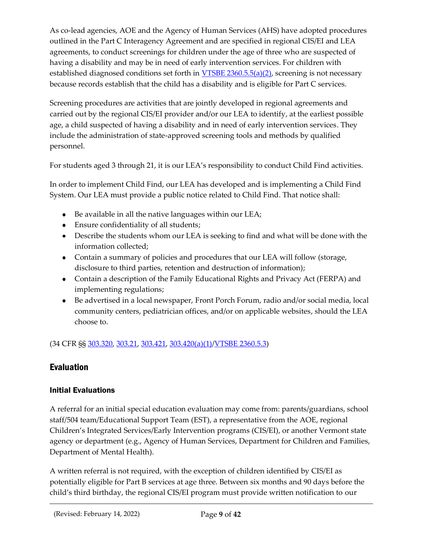As co-lead agencies, AOE and the Agency of Human Services (AHS) have adopted procedures outlined in the Part C Interagency Agreement and are specified in regional CIS/EI and LEA agreements, to conduct screenings for children under the age of three who are suspected of having a disability and may be in need of early intervention services. For children with established diagnosed conditions set forth in [VTSBE 2360.5.5\(a\)\(2\),](https://education.vermont.gov/sites/aoe/files/documents/edu-series-2360-special-education-rules.pdf#page=41) screening is not necessary because records establish that the child has a disability and is eligible for Part C services.

Screening procedures are activities that are jointly developed in regional agreements and carried out by the regional CIS/EI provider and/or our LEA to identify, at the earliest possible age, a child suspected of having a disability and in need of early intervention services. They include the administration of state-approved screening tools and methods by qualified personnel.

For students aged 3 through 21, it is our LEA's responsibility to conduct Child Find activities.

In order to implement Child Find, our LEA has developed and is implementing a Child Find System. Our LEA must provide a public notice related to Child Find. That notice shall:

- Be available in all the native languages within our LEA;
- Ensure confidentiality of all students;
- Describe the students whom our LEA is seeking to find and what will be done with the information collected;
- Contain a summary of policies and procedures that our LEA will follow (storage, disclosure to third parties, retention and destruction of information);
- Contain a description of the Family Educational Rights and Privacy Act (FERPA) and implementing regulations;
- Be advertised in a local newspaper, Front Porch Forum, radio and/or social media, local community centers, pediatrician offices, and/or on applicable websites, should the LEA choose to.

(34 CFR §§ [303.320,](https://sites.ed.gov/idea/regs/c/d/303.320) [303.21,](https://sites.ed.gov/idea/regs/c/a/303.21) [303.421,](https://sites.ed.gov/idea/regs/c/e/303.421) [303.420\(a\)\(1\)](https://sites.ed.gov/idea/regs/c/e/303.420/a/1)[/VTSBE 2360.5.3\)](https://education.vermont.gov/sites/aoe/files/documents/edu-series-2360-special-education-rules.pdf#page=37)

# <span id="page-8-0"></span>Evaluation

## <span id="page-8-1"></span>Initial Evaluations

A referral for an initial special education evaluation may come from: parents/guardians, school staff/504 team/Educational Support Team (EST), a representative from the AOE, regional Children's Integrated Services/Early Intervention programs (CIS/EI), or another Vermont state agency or department (e.g., Agency of Human Services, Department for Children and Families, Department of Mental Health).

A written referral is not required, with the exception of children identified by CIS/EI as potentially eligible for Part B services at age three. Between six months and 90 days before the child's third birthday, the regional CIS/EI program must provide written notification to our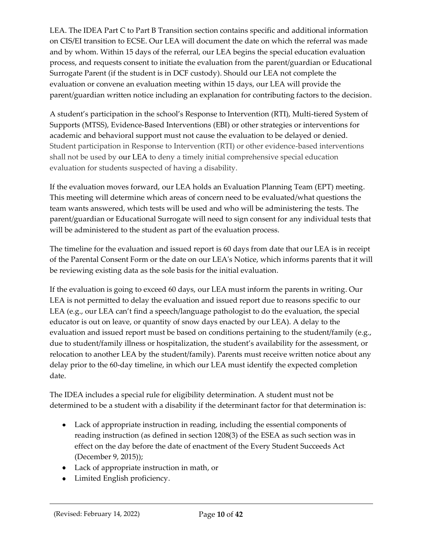LEA. The IDEA Part C to Part B Transition section contains specific and additional information on CIS/EI transition to ECSE. Our LEA will document the date on which the referral was made and by whom. Within 15 days of the referral, our LEA begins the special education evaluation process, and requests consent to initiate the evaluation from the parent/guardian or Educational Surrogate Parent (if the student is in DCF custody). Should our LEA not complete the evaluation or convene an evaluation meeting within 15 days, our LEA will provide the parent/guardian written notice including an explanation for contributing factors to the decision.

A student's participation in the school's Response to Intervention (RTI), Multi-tiered System of Supports (MTSS), Evidence-Based Interventions (EBI) or other strategies or interventions for academic and behavioral support must not cause the evaluation to be delayed or denied. Student participation in Response to Intervention (RTI) or other evidence-based interventions shall not be used by our LEA to deny a timely initial comprehensive special education evaluation for students suspected of having a disability.

If the evaluation moves forward, our LEA holds an Evaluation Planning Team (EPT) meeting. This meeting will determine which areas of concern need to be evaluated/what questions the team wants answered, which tests will be used and who will be administering the tests. The parent/guardian or Educational Surrogate will need to sign consent for any individual tests that will be administered to the student as part of the evaluation process.

The timeline for the evaluation and issued report is 60 days from date that our LEA is in receipt of the Parental Consent Form or the date on our LEA's Notice, which informs parents that it will be reviewing existing data as the sole basis for the initial evaluation.

If the evaluation is going to exceed 60 days, our LEA must inform the parents in writing. Our LEA is not permitted to delay the evaluation and issued report due to reasons specific to our LEA (e.g., our LEA can't find a speech/language pathologist to do the evaluation, the special educator is out on leave, or quantity of snow days enacted by our LEA). A delay to the evaluation and issued report must be based on conditions pertaining to the student/family (e.g., due to student/family illness or hospitalization, the student's availability for the assessment, or relocation to another LEA by the student/family). Parents must receive written notice about any delay prior to the 60-day timeline, in which our LEA must identify the expected completion date.

The IDEA includes a special rule for eligibility determination. A student must not be determined to be a student with a disability if the determinant factor for that determination is:

- Lack of appropriate instruction in reading, including the essential components of reading instruction (as defined in section 1208(3) of the ESEA as such section was in effect on the day before the date of enactment of the Every Student Succeeds Act (December 9, 2015));
- Lack of appropriate instruction in math, or
- Limited English proficiency.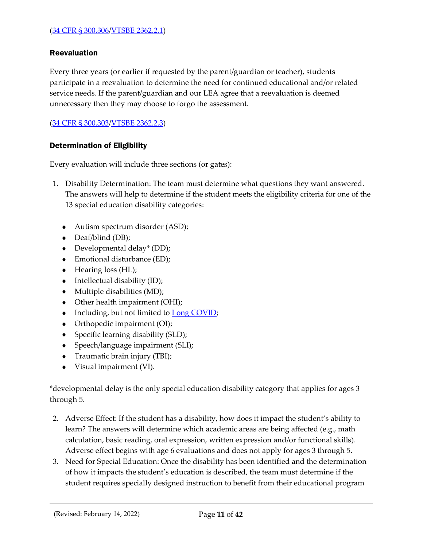#### <span id="page-10-0"></span>Reevaluation

Every three years (or earlier if requested by the parent/guardian or teacher), students participate in a reevaluation to determine the need for continued educational and/or related service needs. If the parent/guardian and our LEA agree that a reevaluation is deemed unnecessary then they may choose to forgo the assessment.

[\(34 CFR § 300.303/](https://sites.ed.gov/idea/regs/b/d/300.303)[VTSBE 2362.2.3\)](https://education.vermont.gov/sites/aoe/files/documents/edu-series-2360-special-education-rules.pdf#page=79)

#### <span id="page-10-1"></span>Determination of Eligibility

Every evaluation will include three sections (or gates):

- 1. Disability Determination: The team must determine what questions they want answered. The answers will help to determine if the student meets the eligibility criteria for one of the 13 special education disability categories:
	- Autism spectrum disorder (ASD);
	- Deaf/blind (DB);
	- Developmental delay\* (DD);
	- Emotional disturbance (ED);
	- Hearing loss (HL);
	- Intellectual disability (ID);
	- Multiple disabilities (MD);
	- Other health impairment (OHI);
	- Including, but not limited to **Long COVID**;
	- Orthopedic impairment (OI);
	- Specific learning disability (SLD);
	- Speech/language impairment (SLI);
	- Traumatic brain injury (TBI);
	- $\bullet$ Visual impairment (VI).

\*developmental delay is the only special education disability category that applies for ages 3 through 5.

- 2. Adverse Effect: If the student has a disability, how does it impact the student's ability to learn? The answers will determine which academic areas are being affected (e.g., math calculation, basic reading, oral expression, written expression and/or functional skills). Adverse effect begins with age 6 evaluations and does not apply for ages 3 through 5.
- 3. Need for Special Education: Once the disability has been identified and the determination of how it impacts the student's education is described, the team must determine if the student requires specially designed instruction to benefit from their educational program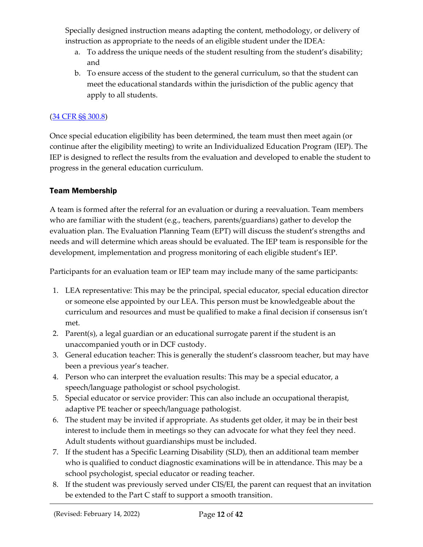Specially designed instruction means adapting the content, methodology, or delivery of instruction as appropriate to the needs of an eligible student under the IDEA:

- a. To address the unique needs of the student resulting from the student's disability; and
- b. To ensure access of the student to the general curriculum, so that the student can meet the educational standards within the jurisdiction of the public agency that apply to all students.

## [\(34 CFR §§ 300.8\)](https://sites.ed.gov/idea/regs/b/a/300.8)

Once special education eligibility has been determined, the team must then meet again (or continue after the eligibility meeting) to write an Individualized Education Program (IEP). The IEP is designed to reflect the results from the evaluation and developed to enable the student to progress in the general education curriculum.

## <span id="page-11-0"></span>Team Membership

A team is formed after the referral for an evaluation or during a reevaluation. Team members who are familiar with the student (e.g., teachers, parents/guardians) gather to develop the evaluation plan. The Evaluation Planning Team (EPT) will discuss the student's strengths and needs and will determine which areas should be evaluated. The IEP team is responsible for the development, implementation and progress monitoring of each eligible student's IEP.

Participants for an evaluation team or IEP team may include many of the same participants:

- 1. LEA representative: This may be the principal, special educator, special education director or someone else appointed by our LEA. This person must be knowledgeable about the curriculum and resources and must be qualified to make a final decision if consensus isn't met.
- 2. Parent(s), a legal guardian or an educational surrogate parent if the student is an unaccompanied youth or in DCF custody.
- 3. General education teacher: This is generally the student's classroom teacher, but may have been a previous year's teacher.
- 4. Person who can interpret the evaluation results: This may be a special educator, a speech/language pathologist or school psychologist.
- 5. Special educator or service provider: This can also include an occupational therapist, adaptive PE teacher or speech/language pathologist.
- 6. The student may be invited if appropriate. As students get older, it may be in their best interest to include them in meetings so they can advocate for what they feel they need. Adult students without guardianships must be included.
- 7. If the student has a Specific Learning Disability (SLD), then an additional team member who is qualified to conduct diagnostic examinations will be in attendance. This may be a school psychologist, special educator or reading teacher.
- 8. If the student was previously served under CIS/EI, the parent can request that an invitation be extended to the Part C staff to support a smooth transition.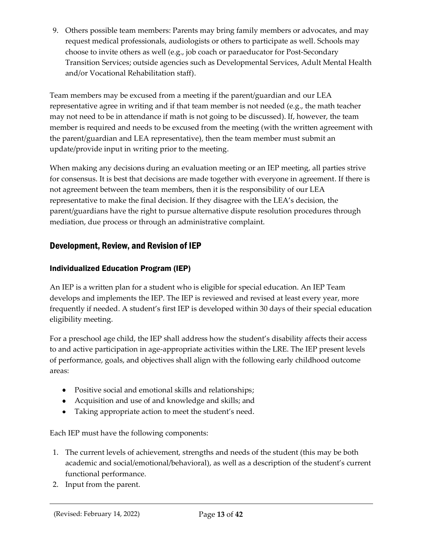9. Others possible team members: Parents may bring family members or advocates, and may request medical professionals, audiologists or others to participate as well. Schools may choose to invite others as well (e.g., job coach or paraeducator for Post-Secondary Transition Services; outside agencies such as Developmental Services, Adult Mental Health and/or Vocational Rehabilitation staff).

Team members may be excused from a meeting if the parent/guardian and our LEA representative agree in writing and if that team member is not needed (e.g., the math teacher may not need to be in attendance if math is not going to be discussed). If, however, the team member is required and needs to be excused from the meeting (with the written agreement with the parent/guardian and LEA representative), then the team member must submit an update/provide input in writing prior to the meeting.

When making any decisions during an evaluation meeting or an IEP meeting, all parties strive for consensus. It is best that decisions are made together with everyone in agreement. If there is not agreement between the team members, then it is the responsibility of our LEA representative to make the final decision. If they disagree with the LEA's decision, the parent/guardians have the right to pursue alternative dispute resolution procedures through mediation, due process or through an administrative complaint.

# <span id="page-12-0"></span>Development, Review, and Revision of IEP

## <span id="page-12-1"></span>Individualized Education Program (IEP)

An IEP is a written plan for a student who is eligible for special education. An IEP Team develops and implements the IEP. The IEP is reviewed and revised at least every year, more frequently if needed. A student's first IEP is developed within 30 days of their special education eligibility meeting.

For a preschool age child, the IEP shall address how the student's disability affects their access to and active participation in age-appropriate activities within the LRE. The IEP present levels of performance, goals, and objectives shall align with the following early childhood outcome areas:

- Positive social and emotional skills and relationships;
- Acquisition and use of and knowledge and skills; and
- Taking appropriate action to meet the student's need.

Each IEP must have the following components:

- 1. The current levels of achievement, strengths and needs of the student (this may be both academic and social/emotional/behavioral), as well as a description of the student's current functional performance.
- 2. Input from the parent.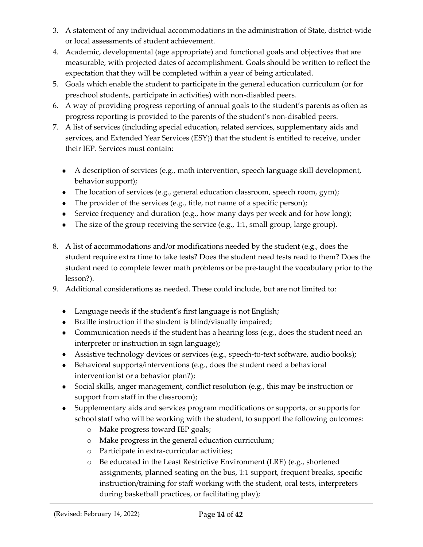- 3. A statement of any individual accommodations in the administration of State, district-wide or local assessments of student achievement.
- 4. Academic, developmental (age appropriate) and functional goals and objectives that are measurable, with projected dates of accomplishment. Goals should be written to reflect the expectation that they will be completed within a year of being articulated.
- 5. Goals which enable the student to participate in the general education curriculum (or for preschool students, participate in activities) with non-disabled peers.
- 6. A way of providing progress reporting of annual goals to the student's parents as often as progress reporting is provided to the parents of the student's non-disabled peers.
- 7. A list of services (including special education, related services, supplementary aids and services, and Extended Year Services (ESY)) that the student is entitled to receive, under their IEP. Services must contain:
	- A description of services (e.g., math intervention, speech language skill development, behavior support);
	- The location of services (e.g., general education classroom, speech room, gym);
	- The provider of the services (e.g., title, not name of a specific person);
	- Service frequency and duration (e.g., how many days per week and for how long);
	- The size of the group receiving the service (e.g., 1:1, small group, large group).
- 8. A list of accommodations and/or modifications needed by the student (e.g., does the student require extra time to take tests? Does the student need tests read to them? Does the student need to complete fewer math problems or be pre-taught the vocabulary prior to the lesson?).
- 9. Additional considerations as needed. These could include, but are not limited to:
	- Language needs if the student's first language is not English;
	- Braille instruction if the student is blind/visually impaired;
	- Communication needs if the student has a hearing loss (e.g., does the student need an interpreter or instruction in sign language);
	- Assistive technology devices or services (e.g., speech-to-text software, audio books);
	- Behavioral supports/interventions (e.g., does the student need a behavioral interventionist or a behavior plan?);
	- Social skills, anger management, conflict resolution (e.g., this may be instruction or support from staff in the classroom);
	- Supplementary aids and services program modifications or supports, or supports for school staff who will be working with the student, to support the following outcomes:
		- o Make progress toward IEP goals;
		- o Make progress in the general education curriculum;
		- o Participate in extra-curricular activities;
		- o Be educated in the Least Restrictive Environment (LRE) (e.g., shortened assignments, planned seating on the bus, 1:1 support, frequent breaks, specific instruction/training for staff working with the student, oral tests, interpreters during basketball practices, or facilitating play);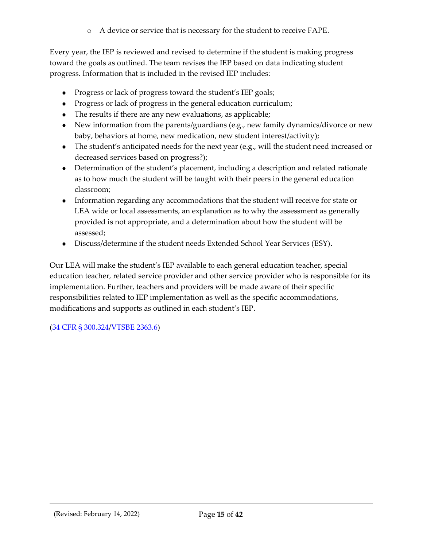o A device or service that is necessary for the student to receive FAPE.

Every year, the IEP is reviewed and revised to determine if the student is making progress toward the goals as outlined. The team revises the IEP based on data indicating student progress. Information that is included in the revised IEP includes:

- Progress or lack of progress toward the student's IEP goals;
- Progress or lack of progress in the general education curriculum;
- The results if there are any new evaluations, as applicable;
- New information from the parents/guardians (e.g., new family dynamics/divorce or new baby, behaviors at home, new medication, new student interest/activity);
- The student's anticipated needs for the next year (e.g., will the student need increased or decreased services based on progress?);
- Determination of the student's placement, including a description and related rationale as to how much the student will be taught with their peers in the general education classroom;
- Information regarding any accommodations that the student will receive for state or LEA wide or local assessments, an explanation as to why the assessment as generally provided is not appropriate, and a determination about how the student will be assessed;
- Discuss/determine if the student needs Extended School Year Services (ESY).

Our LEA will make the student's IEP available to each general education teacher, special education teacher, related service provider and other service provider who is responsible for its implementation. Further, teachers and providers will be made aware of their specific responsibilities related to IEP implementation as well as the specific accommodations, modifications and supports as outlined in each student's IEP.

[\(34 CFR § 300.324/](https://sites.ed.gov/idea/regs/b/d/300.324)[VTSBE 2363.6\)](https://education.vermont.gov/sites/aoe/files/documents/edu-series-2360-special-education-rules.pdf#page=95)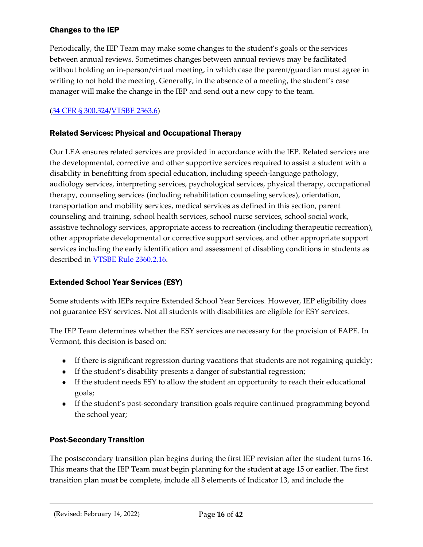## <span id="page-15-0"></span>Changes to the IEP

Periodically, the IEP Team may make some changes to the student's goals or the services between annual reviews. Sometimes changes between annual reviews may be facilitated without holding an in-person/virtual meeting, in which case the parent/guardian must agree in writing to not hold the meeting. Generally, in the absence of a meeting, the student's case manager will make the change in the IEP and send out a new copy to the team.

## [\(34 CFR § 300.324/](https://sites.ed.gov/idea/regs/b/d/300.324)[VTSBE 2363.6\)](https://education.vermont.gov/sites/aoe/files/documents/edu-series-2360-special-education-rules.pdf#page=95)

#### <span id="page-15-1"></span>Related Services: Physical and Occupational Therapy

Our LEA ensures related services are provided in accordance with the IEP. Related services are the developmental, corrective and other supportive services required to assist a student with a disability in benefitting from special education, including speech-language pathology, audiology services, interpreting services, psychological services, physical therapy, occupational therapy, counseling services (including rehabilitation counseling services), orientation, transportation and mobility services, medical services as defined in this section, parent counseling and training, school health services, school nurse services, school social work, assistive technology services, appropriate access to recreation (including therapeutic recreation), other appropriate developmental or corrective support services, and other appropriate support services including the early identification and assessment of disabling conditions in students as described in [VTSBE Rule 2360.2.16](https://education.vermont.gov/sites/aoe/files/documents/edu-series-2360-special-education-rules.pdf#page=21).

#### <span id="page-15-2"></span>Extended School Year Services (ESY)

Some students with IEPs require Extended School Year Services. However, IEP eligibility does not guarantee ESY services. Not all students with disabilities are eligible for ESY services.

The IEP Team determines whether the ESY services are necessary for the provision of FAPE. In Vermont, this decision is based on:

- If there is significant regression during vacations that students are not regaining quickly;
- If the student's disability presents a danger of substantial regression;
- If the student needs ESY to allow the student an opportunity to reach their educational goals;
- If the student's post-secondary transition goals require continued programming beyond the school year;

#### <span id="page-15-3"></span>Post-Secondary Transition

The postsecondary transition plan begins during the first IEP revision after the student turns 16. This means that the IEP Team must begin planning for the student at age 15 or earlier. The first transition plan must be complete, include all 8 elements of Indicator 13, and include the

(Revised: February 14, 2022) Page **16** of **42**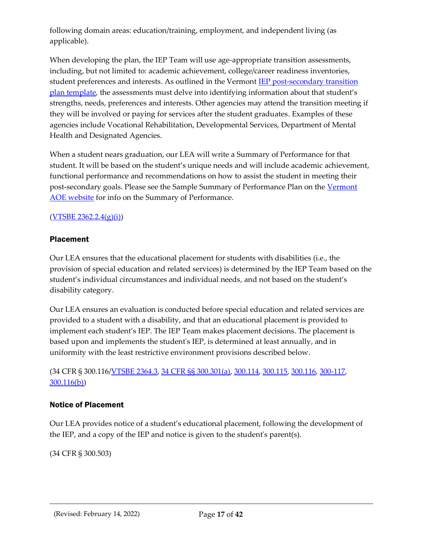following domain areas: education/training, employment, and independent living (as applicable).

When developing the plan, the IEP Team will use age-appropriate transition assessments, including, but not limited to: academic achievement, college/career readiness inventories, student preferences and interests. As outlined in the Vermont [IEP post-secondary transition](https://education.vermont.gov/documents/edu-individualized-education-program-post-secondary-transition-plan-template)  [plan template](https://education.vermont.gov/documents/edu-individualized-education-program-post-secondary-transition-plan-template), the assessments must delve into identifying information about that student's strengths, needs, preferences and interests. Other agencies may attend the transition meeting if they will be involved or paying for services after the student graduates. Examples of these agencies include Vocational Rehabilitation, Developmental Services, Department of Mental Health and Designated Agencies.

When a student nears graduation, our LEA will write a Summary of Performance for that student. It will be based on the student's unique needs and will include academic achievement, functional performance and recommendations on how to assist the student in meeting their post-secondary goals. Please see the Sample Summary of Performance Plan on the [Vermont](https://education.vermont.gov/documents/sample-summary-of-performance-exit-report) [AOE website](https://education.vermont.gov/documents/sample-summary-of-performance-exit-report) for info on the Summary of Performance.

#### $(YTSBE 2362.2.4(g)(i))$

#### <span id="page-16-0"></span>Placement

Our LEA ensures that the educational placement for students with disabilities (i.e., the provision of special education and related services) is determined by the IEP Team based on the student's individual circumstances and individual needs, and not based on the student's disability category.

Our LEA ensures an evaluation is conducted before special education and related services are provided to a student with a disability, and that an educational placement is provided to implement each student's IEP. The IEP Team makes placement decisions. The placement is based upon and implements the student's IEP, is determined at least annually, and in uniformity with the least restrictive environment provisions described below.

(34 CFR § 300.116/[VTSBE 2364.3](https://education.vermont.gov/sites/aoe/files/documents/edu-series-2360-special-education-rules.pdf#page=105), [34 CFR §§ 300.301\(a\),](https://sites.ed.gov/idea/regs/b/d/300.301/a) [300.114,](https://sites.ed.gov/idea/regs/b/b/300.114) [300.115,](https://sites.ed.gov/idea/regs/b/b/300.115) [300.116,](https://sites.ed.gov/idea/regs/b/b/300.116) [300-117,](https://sites.ed.gov/idea/regs/b/b/300.117) [300.116\(b\)\)](https://sites.ed.gov/idea/regs/b/b/300.116/b)

#### <span id="page-16-1"></span>Notice of Placement

Our LEA provides notice of a student's educational placement, following the development of the IEP, and a copy of the IEP and notice is given to the student's parent(s).

(34 CFR § 300.503)

(Revised: February 14, 2022) Page **17** of **42**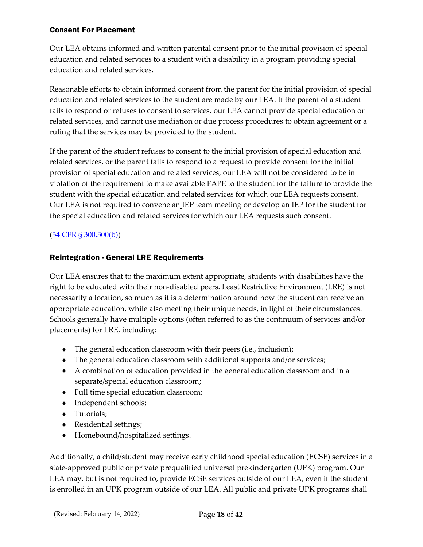#### <span id="page-17-0"></span>Consent For Placement

Our LEA obtains informed and written parental consent prior to the initial provision of special education and related services to a student with a disability in a program providing special education and related services.

Reasonable efforts to obtain informed consent from the parent for the initial provision of special education and related services to the student are made by our LEA. If the parent of a student fails to respond or refuses to consent to services, our LEA cannot provide special education or related services, and cannot use mediation or due process procedures to obtain agreement or a ruling that the services may be provided to the student.

If the parent of the student refuses to consent to the initial provision of special education and related services, or the parent fails to respond to a request to provide consent for the initial provision of special education and related services, our LEA will not be considered to be in violation of the requirement to make available FAPE to the student for the failure to provide the student with the special education and related services for which our LEA requests consent. Our LEA is not required to convene an IEP team meeting or develop an IEP for the student for the special education and related services for which our LEA requests such consent.

## [\(34 CFR § 300.300\(b\)\)](https://sites.ed.gov/idea/regs/b/d/300.300/b)

#### <span id="page-17-1"></span>Reintegration - General LRE Requirements

Our LEA ensures that to the maximum extent appropriate, students with disabilities have the right to be educated with their non-disabled peers. Least Restrictive Environment (LRE) is not necessarily a location, so much as it is a determination around how the student can receive an appropriate education, while also meeting their unique needs, in light of their circumstances. Schools generally have multiple options (often referred to as the continuum of services and/or placements) for LRE, including:

- The general education classroom with their peers (i.e., inclusion);
- The general education classroom with additional supports and/or services;
- A combination of education provided in the general education classroom and in a separate/special education classroom;
- Full time special education classroom;
- Independent schools;
- Tutorials;
- Residential settings;
- Homebound/hospitalized settings.

Additionally, a child/student may receive early childhood special education (ECSE) services in a state-approved public or private prequalified universal prekindergarten (UPK) program. Our LEA may, but is not required to, provide ECSE services outside of our LEA, even if the student is enrolled in an UPK program outside of our LEA. All public and private UPK programs shall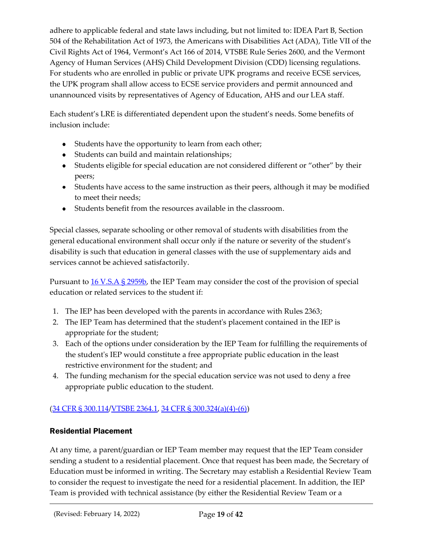adhere to applicable federal and state laws including, but not limited to: IDEA Part B, Section 504 of the Rehabilitation Act of 1973, the Americans with Disabilities Act (ADA), Title VII of the Civil Rights Act of 1964, Vermont's Act 166 of 2014, VTSBE Rule Series 2600, and the Vermont Agency of Human Services (AHS) Child Development Division (CDD) licensing regulations. For students who are enrolled in public or private UPK programs and receive ECSE services, the UPK program shall allow access to ECSE service providers and permit announced and unannounced visits by representatives of Agency of Education, AHS and our LEA staff.

Each student's LRE is differentiated dependent upon the student's needs. Some benefits of inclusion include:

- Students have the opportunity to learn from each other;
- Students can build and maintain relationships;
- Students eligible for special education are not considered different or "other" by their peers;
- Students have access to the same instruction as their peers, although it may be modified to meet their needs;
- Students benefit from the resources available in the classroom.

Special classes, separate schooling or other removal of students with disabilities from the general educational environment shall occur only if the nature or severity of the student's disability is such that education in general classes with the use of supplementary aids and services cannot be achieved satisfactorily.

Pursuant to [16 V.S.A § 2959b,](https://legislature.vermont.gov/statutes/section/16/101/02959) the IEP Team may consider the cost of the provision of special education or related services to the student if:

- 1. The IEP has been developed with the parents in accordance with Rules 2363;
- 2. The IEP Team has determined that the student's placement contained in the IEP is appropriate for the student;
- 3. Each of the options under consideration by the IEP Team for fulfilling the requirements of the student's IEP would constitute a free appropriate public education in the least restrictive environment for the student; and
- 4. The funding mechanism for the special education service was not used to deny a free appropriate public education to the student.

## [\(34 CFR § 300.114/](https://sites.ed.gov/idea/regs/b/b/300.114)[VTSBE 2364.1,](https://education.vermont.gov/sites/aoe/files/documents/edu-series-2360-special-education-rules.pdf#page=104) [34 CFR § 300.324\(a\)\(4\)-\(6\)\)](https://sites.ed.gov/idea/regs/b/d/300.324)

## <span id="page-18-0"></span>Residential Placement

At any time, a parent/guardian or IEP Team member may request that the IEP Team consider sending a student to a residential placement. Once that request has been made, the Secretary of Education must be informed in writing. The Secretary may establish a Residential Review Team to consider the request to investigate the need for a residential placement. In addition, the IEP Team is provided with technical assistance (by either the Residential Review Team or a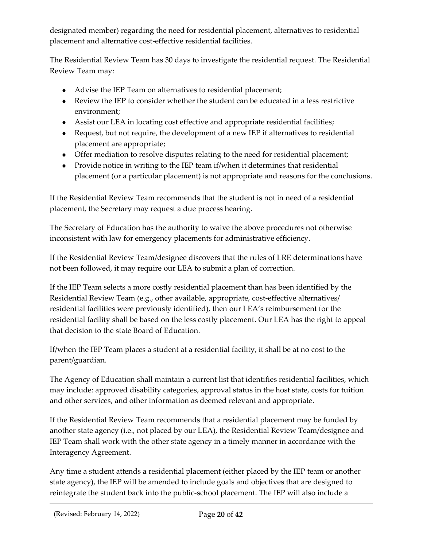designated member) regarding the need for residential placement, alternatives to residential placement and alternative cost-effective residential facilities.

The Residential Review Team has 30 days to investigate the residential request. The Residential Review Team may:

- Advise the IEP Team on alternatives to residential placement;
- Review the IEP to consider whether the student can be educated in a less restrictive environment;
- Assist our LEA in locating cost effective and appropriate residential facilities;
- Request, but not require, the development of a new IEP if alternatives to residential placement are appropriate;
- Offer mediation to resolve disputes relating to the need for residential placement;
- Provide notice in writing to the IEP team if/when it determines that residential placement (or a particular placement) is not appropriate and reasons for the conclusions.

If the Residential Review Team recommends that the student is not in need of a residential placement, the Secretary may request a due process hearing.

The Secretary of Education has the authority to waive the above procedures not otherwise inconsistent with law for emergency placements for administrative efficiency.

If the Residential Review Team/designee discovers that the rules of LRE determinations have not been followed, it may require our LEA to submit a plan of correction.

If the IEP Team selects a more costly residential placement than has been identified by the Residential Review Team (e.g., other available, appropriate, cost-effective alternatives/ residential facilities were previously identified), then our LEA's reimbursement for the residential facility shall be based on the less costly placement. Our LEA has the right to appeal that decision to the state Board of Education.

If/when the IEP Team places a student at a residential facility, it shall be at no cost to the parent/guardian.

The Agency of Education shall maintain a current list that identifies residential facilities, which may include: approved disability categories, approval status in the host state, costs for tuition and other services, and other information as deemed relevant and appropriate.

If the Residential Review Team recommends that a residential placement may be funded by another state agency (i.e., not placed by our LEA), the Residential Review Team/designee and IEP Team shall work with the other state agency in a timely manner in accordance with the Interagency Agreement.

Any time a student attends a residential placement (either placed by the IEP team or another state agency), the IEP will be amended to include goals and objectives that are designed to reintegrate the student back into the public-school placement. The IEP will also include a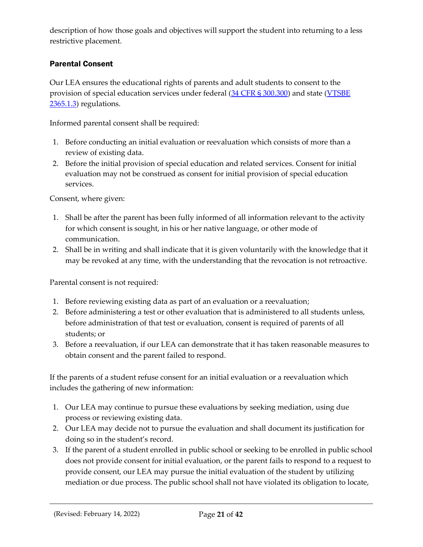description of how those goals and objectives will support the student into returning to a less restrictive placement.

## <span id="page-20-0"></span>Parental Consent

Our LEA ensures the educational rights of parents and adult students to consent to the provision of special education services under federal [\(34 CFR § 300.300\)](https://sites.ed.gov/idea/regs/b/d/300.300) and state [\(](https://education.vermont.gov/sites/aoe/files/documents/edu-series-2360-special-education-rules.pdf#%5B%7B%22num%22%3A227%2C%22gen%22%3A0%7D%2C%7B%22name%22%3A%22Fit%22%7D%5D)[VTSBE](https://education.vermont.gov/sites/aoe/files/documents/edu-series-2360-special-education-rules.pdf#page=110) [2365.1.3\)](https://education.vermont.gov/sites/aoe/files/documents/edu-series-2360-special-education-rules.pdf#page=110) regulations.

Informed parental consent shall be required:

- 1. Before conducting an initial evaluation or reevaluation which consists of more than a review of existing data.
- 2. Before the initial provision of special education and related services. Consent for initial evaluation may not be construed as consent for initial provision of special education services.

Consent, where given:

- 1. Shall be after the parent has been fully informed of all information relevant to the activity for which consent is sought, in his or her native language, or other mode of communication.
- 2. Shall be in writing and shall indicate that it is given voluntarily with the knowledge that it may be revoked at any time, with the understanding that the revocation is not retroactive.

Parental consent is not required:

- 1. Before reviewing existing data as part of an evaluation or a reevaluation;
- 2. Before administering a test or other evaluation that is administered to all students unless, before administration of that test or evaluation, consent is required of parents of all students; or
- 3. Before a reevaluation, if our LEA can demonstrate that it has taken reasonable measures to obtain consent and the parent failed to respond.

If the parents of a student refuse consent for an initial evaluation or a reevaluation which includes the gathering of new information:

- 1. Our LEA may continue to pursue these evaluations by seeking mediation, using due process or reviewing existing data.
- 2. Our LEA may decide not to pursue the evaluation and shall document its justification for doing so in the student's record.
- 3. If the parent of a student enrolled in public school or seeking to be enrolled in public school does not provide consent for initial evaluation, or the parent fails to respond to a request to provide consent, our LEA may pursue the initial evaluation of the student by utilizing mediation or due process. The public school shall not have violated its obligation to locate,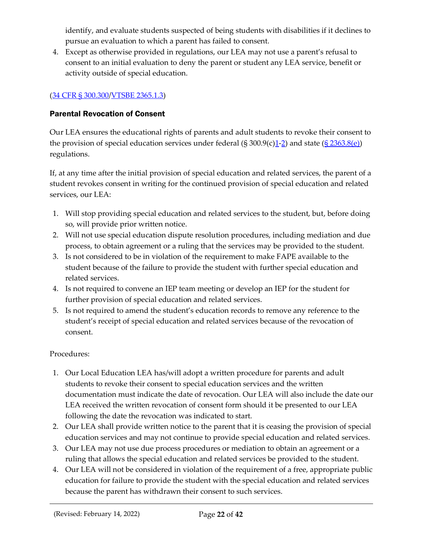identify, and evaluate students suspected of being students with disabilities if it declines to pursue an evaluation to which a parent has failed to consent.

4. Except as otherwise provided in regulations, our LEA may not use a parent's refusal to consent to an initial evaluation to deny the parent or student any LEA service, benefit or activity outside of special education.

## [\(34 CFR §](https://sites.ed.gov/idea/regs/b/d/300.300/b) 300.300[/VTSBE 2365.1.3\)](https://education.vermont.gov/sites/aoe/files/documents/edu-series-2360-special-education-rules.pdf#page=110)

## <span id="page-21-0"></span>Parental Revocation of Consent

Our LEA ensures the educational rights of parents and adult students to revoke their consent to the provision of special education services under federal  $(\frac{5300.9(c)1-2}{2})$  $(\frac{5300.9(c)1-2}{2})$  $(\frac{5300.9(c)1-2}{2})$  and state  $(\frac{52363.8(e)}{2})$ regulations.

If, at any time after the initial provision of special education and related services, the parent of a student revokes consent in writing for the continued provision of special education and related services, our LEA:

- 1. Will stop providing special education and related services to the student, but, before doing so, will provide prior written notice.
- 2. Will not use special education dispute resolution procedures, including mediation and due process, to obtain agreement or a ruling that the services may be provided to the student.
- 3. Is not considered to be in violation of the requirement to make FAPE available to the student because of the failure to provide the student with further special education and related services.
- 4. Is not required to convene an IEP team meeting or develop an IEP for the student for further provision of special education and related services.
- 5. Is not required to amend the student's education records to remove any reference to the student's receipt of special education and related services because of the revocation of consent.

#### Procedures:

- 1. Our Local Education LEA has/will adopt a written procedure for parents and adult students to revoke their consent to special education services and the written documentation must indicate the date of revocation. Our LEA will also include the date our LEA received the written revocation of consent form should it be presented to our LEA following the date the revocation was indicated to start.
- 2. Our LEA shall provide written notice to the parent that it is ceasing the provision of special education services and may not continue to provide special education and related services.
- 3. Our LEA may not use due process procedures or mediation to obtain an agreement or a ruling that allows the special education and related services be provided to the student.
- 4. Our LEA will not be considered in violation of the requirement of a free, appropriate public education for failure to provide the student with the special education and related services because the parent has withdrawn their consent to such services.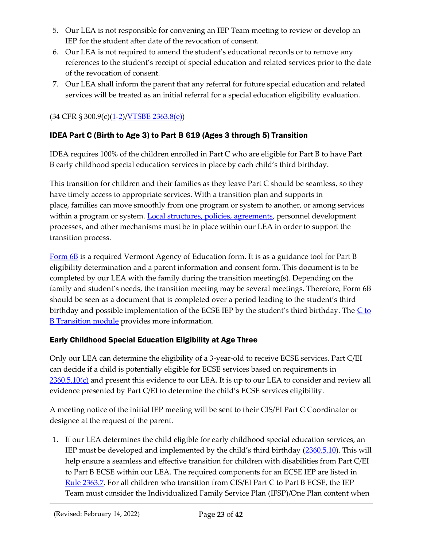- 5. Our LEA is not responsible for convening an IEP Team meeting to review or develop an IEP for the student after date of the revocation of consent.
- 6. Our LEA is not required to amend the student's educational records or to remove any references to the student's receipt of special education and related services prior to the date of the revocation of consent.
- 7. Our LEA shall inform the parent that any referral for future special education and related services will be treated as an initial referral for a special education eligibility evaluation.

 $(34 \text{ CFR } $ 300.9(c)(1-2)/\text{UTSBE } 2363.8(e))$  $(34 \text{ CFR } $ 300.9(c)(1-2)/\text{UTSBE } 2363.8(e))$  $(34 \text{ CFR } $ 300.9(c)(1-2)/\text{UTSBE } 2363.8(e))$  $(34 \text{ CFR } $ 300.9(c)(1-2)/\text{UTSBE } 2363.8(e))$ 

## <span id="page-22-0"></span>IDEA Part C (Birth to Age 3) to Part B 619 (Ages 3 through 5) Transition

IDEA requires 100% of the children enrolled in Part C who are eligible for Part B to have Part B early childhood special education services in place by each child's third birthday.

This transition for children and their families as they leave Part C should be seamless, so they have timely access to appropriate services. With a transition plan and supports in place, families can move smoothly from one program or system to another, or among services within a program or system. [Local structures, policies, agreements,](https://ectacenter.org/topics/transition/stateex.asp) personnel development processes, and other mechanisms must be in place within our LEA in order to support the transition process.

[Form 6B](https://education.vermont.gov/sites/aoe/files/documents/edu-form-6b-idea-part-c-to-part-b-transition.pdf) is a required Vermont Agency of Education form. It is as a guidance tool for Part B eligibility determination and a parent information and consent form. This document is to be completed by our LEA with the family during the transition meeting(s). Depending on the family and student's needs, the transition meeting may be several meetings. Therefore, Form 6B should be seen as a document that is completed over a period leading to the student's third birthday and possible implementation of the ECSE IEP by the student's third birthday. The  $C$  to **[B Transition](https://education.vermont.gov/sites/aoe/files/documents/part-c-to-part-b-AC-version.pdf) module provides more information.** 

## <span id="page-22-1"></span>Early Childhood Special Education Eligibility at Age Three

Only our LEA can determine the eligibility of a 3-year-old to receive ECSE services. Part C/EI can decide if a child is potentially eligible for ECSE services based on requirements in  $2360.5.10(c)$  and present this evidence to our LEA. It is up to our LEA to consider and review all evidence presented by Part C/EI to determine the child's ECSE services eligibility.

A meeting notice of the initial IEP meeting will be sent to their CIS/EI Part C Coordinator or designee at the request of the parent.

1. If our LEA determines the child eligible for early childhood special education services, an IEP must be developed and implemented by the child's third birthday ([2360.5.10\)](https://education.vermont.gov/sites/aoe/files/documents/edu-series-2360-special-education-rules.pdf#%5B%7B%22num%22%3A107%2C%22gen%22%3A0%7D%2C%7B%22name%22%3A%22Fit%22%7D%5D). This will help ensure a seamless and effective transition for children with disabilities from Part C/EI to Part B ECSE within our LEA. The required components for an ECSE IEP are listed in [Rule 2363.7.](https://education.vermont.gov/sites/aoe/files/documents/edu-series-2360-special-education-rules.pdf#%5B%7B%22num%22%3A201%2C%22gen%22%3A0%7D%2C%7B%22name%22%3A%22Fit%22%7D%5D) For all children who transition from CIS/EI Part C to Part B ECSE, the IEP Team must consider the Individualized Family Service Plan (IFSP)/One Plan content when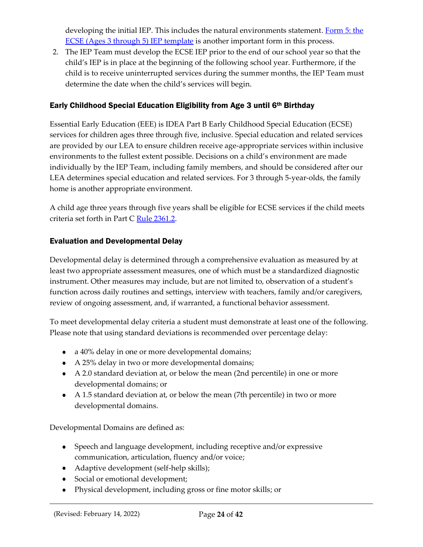developing the initial IEP. This includes the natural environments statement. Form 5: the [ECSE \(Ages 3 through 5\) IEP template](https://education.vermont.gov/documents/edu-form-5-early-childhood-special-education-ecse-ages-3-through-5-iep) is another important form in this process.

2. The IEP Team must develop the ECSE IEP prior to the end of our school year so that the child's IEP is in place at the beginning of the following school year. Furthermore, if the child is to receive uninterrupted services during the summer months, the IEP Team must determine the date when the child's services will begin.

## <span id="page-23-0"></span>Early Childhood Special Education Eligibility from Age 3 until 6th Birthday

Essential Early Education (EEE) is IDEA Part B Early Childhood Special Education (ECSE) services for children ages three through five, inclusive. Special education and related services are provided by our LEA to ensure children receive age-appropriate services within inclusive environments to the fullest extent possible. Decisions on a child's environment are made individually by the IEP Team, including family members, and should be considered after our LEA determines special education and related services. For 3 through 5-year-olds, the family home is another appropriate environment.

A child age three years through five years shall be eligible for ECSE services if the child meets criteria set forth in Part C [Rule 2361.2.](https://education.vermont.gov/sites/aoe/files/documents/edu-series-2360-special-education-rules.pdf#%5B%7B%22num%22%3A135%2C%22gen%22%3A0%7D%2C%7B%22name%22%3A%22Fit%22%7D%5D)

## <span id="page-23-1"></span>Evaluation and Developmental Delay

Developmental delay is determined through a comprehensive evaluation as measured by at least two appropriate assessment measures, one of which must be a standardized diagnostic instrument. Other measures may include, but are not limited to, observation of a student's function across daily routines and settings, interview with teachers, family and/or caregivers, review of ongoing assessment, and, if warranted, a functional behavior assessment.

To meet developmental delay criteria a student must demonstrate at least one of the following. Please note that using standard deviations is recommended over percentage delay:

- a 40% delay in one or more developmental domains;
- A 25% delay in two or more developmental domains;
- A 2.0 standard deviation at, or below the mean (2nd percentile) in one or more developmental domains; or
- A 1.5 standard deviation at, or below the mean (7th percentile) in two or more developmental domains.

Developmental Domains are defined as:

- Speech and language development, including receptive and/or expressive communication, articulation, fluency and/or voice;
- Adaptive development (self-help skills);
- Social or emotional development;
- Physical development, including gross or fine motor skills; or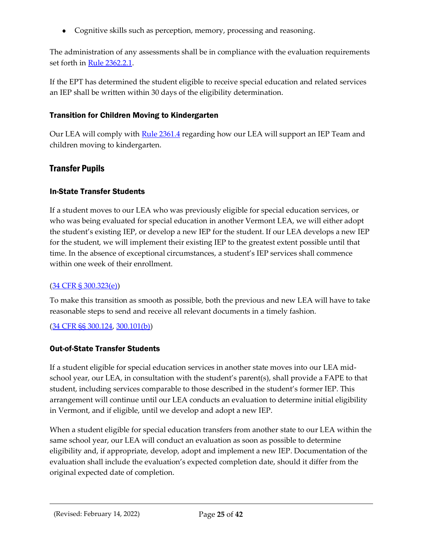Cognitive skills such as perception, memory, processing and reasoning.

The administration of any assessments shall be in compliance with the evaluation requirements set forth in [Rule 2362.2.1.](https://education.vermont.gov/sites/aoe/files/documents/edu-series-2360-special-education-rules.pdf#%5B%7B%22num%22%3A159%2C%22gen%22%3A0%7D%2C%7B%22name%22%3A%22Fit%22%7D%5D)

If the EPT has determined the student eligible to receive special education and related services an IEP shall be written within 30 days of the eligibility determination.

#### <span id="page-24-0"></span>Transition for Children Moving to Kindergarten

Our LEA will comply with [Rule 2361.4](https://education.vermont.gov/sites/aoe/files/documents/edu-series-2360-special-education-rules.pdf#%5B%7B%22num%22%3A139%2C%22gen%22%3A0%7D%2C%7B%22name%22%3A%22Fit%22%7D%5D) regarding how our LEA will support an IEP Team and children moving to kindergarten.

## <span id="page-24-1"></span>Transfer Pupils

#### <span id="page-24-2"></span>In-State Transfer Students

If a student moves to our LEA who was previously eligible for special education services, or who was being evaluated for special education in another Vermont LEA, we will either adopt the student's existing IEP, or develop a new IEP for the student. If our LEA develops a new IEP for the student, we will implement their existing IEP to the greatest extent possible until that time. In the absence of exceptional circumstances, a student's IEP services shall commence within one week of their enrollment.

#### ([34 CFR § 300.323\(e\)](https://sites.ed.gov/idea/regs/b/d/300.323/e))

To make this transition as smooth as possible, both the previous and new LEA will have to take reasonable steps to send and receive all relevant documents in a timely fashion.

#### ([34 CFR §§ 300.124](https://sites.ed.gov/idea/regs/b/b/300.124), [300.101\(b\)](https://sites.ed.gov/idea/regs/b/b/300.101/b))

#### <span id="page-24-3"></span>Out-of-State Transfer Students

If a student eligible for special education services in another state moves into our LEA midschool year, our LEA, in consultation with the student's parent(s), shall provide a FAPE to that student, including services comparable to those described in the student's former IEP. This arrangement will continue until our LEA conducts an evaluation to determine initial eligibility in Vermont, and if eligible, until we develop and adopt a new IEP.

When a student eligible for special education transfers from another state to our LEA within the same school year, our LEA will conduct an evaluation as soon as possible to determine eligibility and, if appropriate, develop, adopt and implement a new IEP. Documentation of the evaluation shall include the evaluation's expected completion date, should it differ from the original expected date of completion.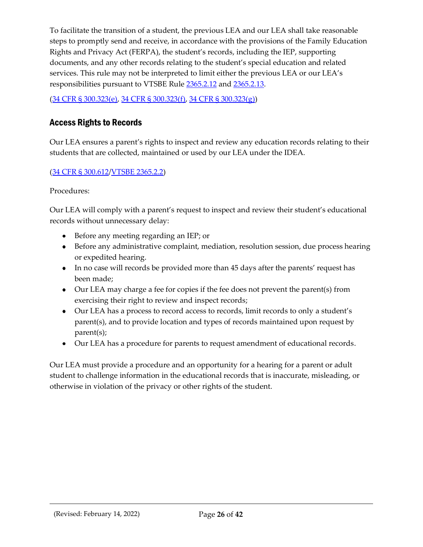To facilitate the transition of a student, the previous LEA and our LEA shall take reasonable steps to promptly send and receive, in accordance with the provisions of the Family Education Rights and Privacy Act (FERPA), the student's records, including the IEP, supporting documents, and any other records relating to the student's special education and related services. This rule may not be interpreted to limit either the previous LEA or our LEA's responsibilities pursuant to VTSBE Rule [2365.2.12](https://education.vermont.gov/sites/aoe/files/documents/edu-series-2360-special-education-rules.pdf#page=140) and [2365.2.13](https://education.vermont.gov/sites/aoe/files/documents/edu-series-2360-special-education-rules.pdf#page=140).

([34 CFR § 300.323\(e\)](https://sites.ed.gov/idea/regs/b/d/300.323/e), [34 CFR § 300.323\(f\),](https://sites.ed.gov/idea/regs/b/d/300.323/f) [34 CFR § 300.323\(g\)\)](https://sites.ed.gov/idea/regs/b/d/300.323/g)

## <span id="page-25-0"></span>Access Rights to Records

Our LEA ensures a parent's rights to inspect and review any education records relating to their students that are collected, maintained or used by our LEA under the IDEA.

#### [\(34 CFR § 300.612/](https://sites.ed.gov/idea/regs/b/f/300.612)[VTSBE 2365.2.2\)](https://education.vermont.gov/sites/aoe/files/documents/edu-series-2360-special-education-rules.pdf#page=136)

Procedures:

Our LEA will comply with a parent's request to inspect and review their student's educational records without unnecessary delay:

- Before any meeting regarding an IEP; or
- Before any administrative complaint, mediation, resolution session, due process hearing or expedited hearing.
- In no case will records be provided more than 45 days after the parents' request has been made;
- Our LEA may charge a fee for copies if the fee does not prevent the parent(s) from exercising their right to review and inspect records;
- Our LEA has a process to record access to records, limit records to only a student's parent(s), and to provide location and types of records maintained upon request by parent(s);
- Our LEA has a procedure for parents to request amendment of educational records.

Our LEA must provide a procedure and an opportunity for a hearing for a parent or adult student to challenge information in the educational records that is inaccurate, misleading, or otherwise in violation of the privacy or other rights of the student.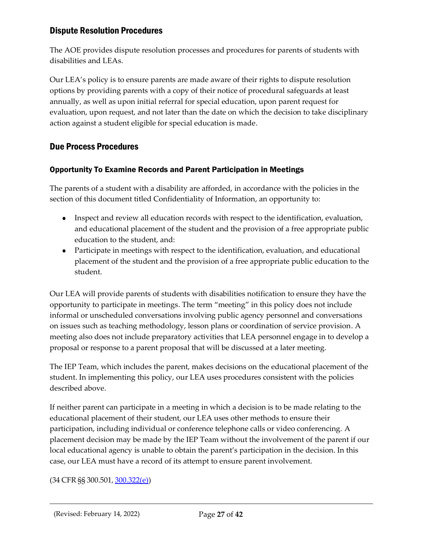## <span id="page-26-0"></span>Dispute Resolution Procedures

The AOE provides dispute resolution processes and procedures for parents of students with disabilities and LEAs.

Our LEA's policy is to ensure parents are made aware of their rights to dispute resolution options by providing parents with a copy of their notice of procedural safeguards at least annually, as well as upon initial referral for special education, upon parent request for evaluation, upon request, and not later than the date on which the decision to take disciplinary action against a student eligible for special education is made.

## <span id="page-26-1"></span>Due Process Procedures

#### <span id="page-26-2"></span>Opportunity To Examine Records and Parent Participation in Meetings

The parents of a student with a disability are afforded, in accordance with the policies in the section of this document titled Confidentiality of Information, an opportunity to:

- Inspect and review all education records with respect to the identification, evaluation, and educational placement of the student and the provision of a free appropriate public education to the student, and:
- Participate in meetings with respect to the identification, evaluation, and educational placement of the student and the provision of a free appropriate public education to the student.

Our LEA will provide parents of students with disabilities notification to ensure they have the opportunity to participate in meetings. The term "meeting" in this policy does not include informal or unscheduled conversations involving public agency personnel and conversations on issues such as teaching methodology, lesson plans or coordination of service provision. A meeting also does not include preparatory activities that LEA personnel engage in to develop a proposal or response to a parent proposal that will be discussed at a later meeting.

The IEP Team, which includes the parent, makes decisions on the educational placement of the student. In implementing this policy, our LEA uses procedures consistent with the policies described above.

If neither parent can participate in a meeting in which a decision is to be made relating to the educational placement of their student, our LEA uses other methods to ensure their participation, including individual or conference telephone calls or video conferencing. A placement decision may be made by the IEP Team without the involvement of the parent if our local educational agency is unable to obtain the parent's participation in the decision. In this case, our LEA must have a record of its attempt to ensure parent involvement.

#### (34 CFR §§ 300.501, [300.322\(e\)\)](https://sites.ed.gov/idea/regs/b/d/300.322/e)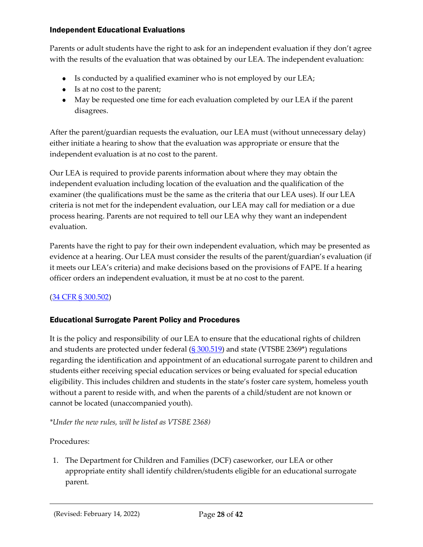#### <span id="page-27-0"></span>Independent Educational Evaluations

Parents or adult students have the right to ask for an independent evaluation if they don't agree with the results of the evaluation that was obtained by our LEA. The independent evaluation:

- Is conducted by a qualified examiner who is not employed by our LEA;
- Is at no cost to the parent;
- May be requested one time for each evaluation completed by our LEA if the parent disagrees.

After the parent/guardian requests the evaluation, our LEA must (without unnecessary delay) either initiate a hearing to show that the evaluation was appropriate or ensure that the independent evaluation is at no cost to the parent.

Our LEA is required to provide parents information about where they may obtain the independent evaluation including location of the evaluation and the qualification of the examiner (the qualifications must be the same as the criteria that our LEA uses). If our LEA criteria is not met for the independent evaluation, our LEA may call for mediation or a due process hearing. Parents are not required to tell our LEA why they want an independent evaluation.

Parents have the right to pay for their own independent evaluation, which may be presented as evidence at a hearing. Our LEA must consider the results of the parent/guardian's evaluation (if it meets our LEA's criteria) and make decisions based on the provisions of FAPE. If a hearing officer orders an independent evaluation, it must be at no cost to the parent.

## [\(34 CFR § 300.502\)](https://sites.ed.gov/idea/regs/b/e/300.502)

## <span id="page-27-1"></span>Educational Surrogate Parent Policy and Procedures

It is the policy and responsibility of our LEA to ensure that the educational rights of children and students are protected under federal  $(S\,300.519)$  and state (VTSBE 2369\*) regulations regarding the identification and appointment of an educational surrogate parent to children and students either receiving special education services or being evaluated for special education eligibility. This includes children and students in the state's foster care system, homeless youth without a parent to reside with, and when the parents of a child/student are not known or cannot be located (unaccompanied youth).

*\*Under the new rules, will be listed as VTSBE 2368)*

#### Procedures:

1. The Department for Children and Families (DCF) caseworker, our LEA or other appropriate entity shall identify children/students eligible for an educational surrogate parent.

(Revised: February 14, 2022) Page **28** of **42**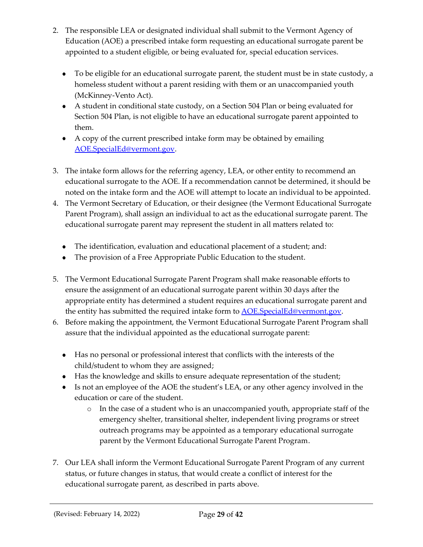- 2. The responsible LEA or designated individual shall submit to the Vermont Agency of Education (AOE) a prescribed intake form requesting an educational surrogate parent be appointed to a student eligible, or being evaluated for, special education services.
	- To be eligible for an educational surrogate parent, the student must be in state custody, a homeless student without a parent residing with them or an unaccompanied youth (McKinney-Vento Act).
	- A student in conditional state custody, on a Section 504 Plan or being evaluated for Section 504 Plan, is not eligible to have an educational surrogate parent appointed to them.
	- A copy of the current prescribed intake form may be obtained by emailing [AOE.SpecialEd@vermont.gov.](mailto:AOE.SpecialEd@vermont.gov)
- 3. The intake form allows for the referring agency, LEA, or other entity to recommend an educational surrogate to the AOE. If a recommendation cannot be determined, it should be noted on the intake form and the AOE will attempt to locate an individual to be appointed.
- 4. The Vermont Secretary of Education, or their designee (the Vermont Educational Surrogate Parent Program), shall assign an individual to act as the educational surrogate parent. The educational surrogate parent may represent the student in all matters related to:
	- The identification, evaluation and educational placement of a student; and:
	- The provision of a Free Appropriate Public Education to the student.
- 5. The Vermont Educational Surrogate Parent Program shall make reasonable efforts to ensure the assignment of an educational surrogate parent within 30 days after the appropriate entity has determined a student requires an educational surrogate parent and the entity has submitted the required intake form to **AOE.SpecialEd@vermont.gov**.
- 6. Before making the appointment, the Vermont Educational Surrogate Parent Program shall assure that the individual appointed as the educational surrogate parent:
	- Has no personal or professional interest that conflicts with the interests of the child/student to whom they are assigned;
	- Has the knowledge and skills to ensure adequate representation of the student;
	- Is not an employee of the AOE the student's LEA, or any other agency involved in the education or care of the student.
		- o In the case of a student who is an unaccompanied youth, appropriate staff of the emergency shelter, transitional shelter, independent living programs or street outreach programs may be appointed as a temporary educational surrogate parent by the Vermont Educational Surrogate Parent Program.
- 7. Our LEA shall inform the Vermont Educational Surrogate Parent Program of any current status, or future changes in status, that would create a conflict of interest for the educational surrogate parent, as described in parts above.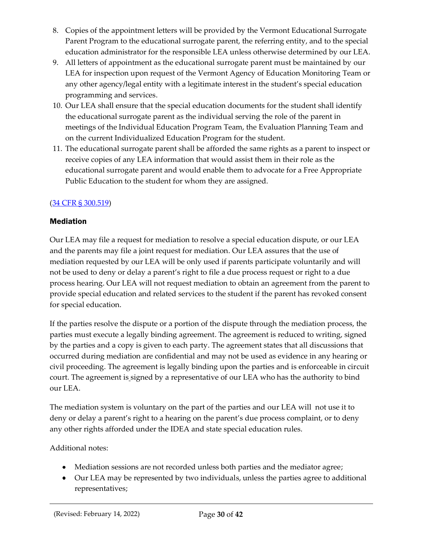- 8. Copies of the appointment letters will be provided by the Vermont Educational Surrogate Parent Program to the educational surrogate parent, the referring entity, and to the special education administrator for the responsible LEA unless otherwise determined by our LEA.
- 9. All letters of appointment as the educational surrogate parent must be maintained by our LEA for inspection upon request of the Vermont Agency of Education Monitoring Team or any other agency/legal entity with a legitimate interest in the student's special education programming and services.
- 10. Our LEA shall ensure that the special education documents for the student shall identify the educational surrogate parent as the individual serving the role of the parent in meetings of the Individual Education Program Team, the Evaluation Planning Team and on the current Individualized Education Program for the student.
- 11. The educational surrogate parent shall be afforded the same rights as a parent to inspect or receive copies of any LEA information that would assist them in their role as the educational surrogate parent and would enable them to advocate for a Free Appropriate Public Education to the student for whom they are assigned.

## [\(34 CFR § 300.519\)](https://sites.ed.gov/idea/regs/b/e/300.519)

## <span id="page-29-0"></span>**Mediation**

Our LEA may file a request for mediation to resolve a special education dispute, or our LEA and the parents may file a joint request for mediation. Our LEA assures that the use of mediation requested by our LEA will be only used if parents participate voluntarily and will not be used to deny or delay a parent's right to file a due process request or right to a due process hearing. Our LEA will not request mediation to obtain an agreement from the parent to provide special education and related services to the student if the parent has revoked consent for special education.

If the parties resolve the dispute or a portion of the dispute through the mediation process, the parties must execute a legally binding agreement. The agreement is reduced to writing, signed by the parties and a copy is given to each party. The agreement states that all discussions that occurred during mediation are confidential and may not be used as evidence in any hearing or civil proceeding. The agreement is legally binding upon the parties and is enforceable in circuit court. The agreement is signed by a representative of our LEA who has the authority to bind our LEA.

The mediation system is voluntary on the part of the parties and our LEA will not use it to deny or delay a parent's right to a hearing on the parent's due process complaint, or to deny any other rights afforded under the IDEA and state special education rules.

## Additional notes:

- Mediation sessions are not recorded unless both parties and the mediator agree;
- Our LEA may be represented by two individuals, unless the parties agree to additional representatives;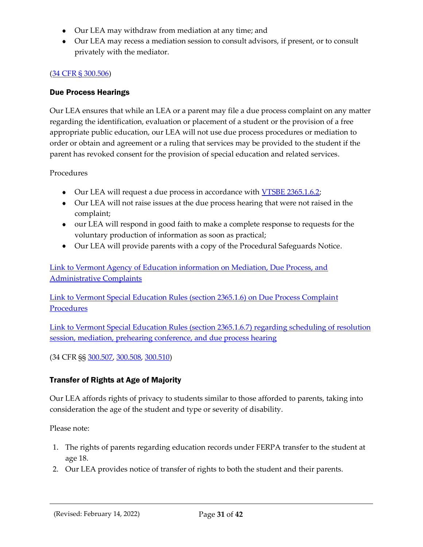- Our LEA may withdraw from mediation at any time; and
- Our LEA may recess a mediation session to consult advisors, if present, or to consult privately with the mediator.

#### [\(34 CFR § 300.506\)](https://sites.ed.gov/idea/regs/b/e/300.506)

#### <span id="page-30-0"></span>Due Process Hearings

Our LEA ensures that while an LEA or a parent may file a due process complaint on any matter regarding the identification, evaluation or placement of a student or the provision of a free appropriate public education, our LEA will not use due process procedures or mediation to order or obtain and agreement or a ruling that services may be provided to the student if the parent has revoked consent for the provision of special education and related services.

#### Procedures

- Our LEA will request a due process in accordance with [VTSBE 2365.1.6.2;](https://education.vermont.gov/sites/aoe/files/documents/edu-series-2360-special-education-rules.pdf#page=117)
- Our LEA will not raise issues at the due process hearing that were not raised in the complaint;
- our LEA will respond in good faith to make a complete response to requests for the voluntary production of information as soon as practical;
- Our LEA will provide parents with a copy of the Procedural Safeguards Notice.

[Link to Vermont Agency of Education information on Mediation, Due Process, and](https://education.vermont.gov/student-support/vermont-special-education/resources-for-families/dispute-resolution#due-process)  [Administrative Complaints](https://education.vermont.gov/student-support/vermont-special-education/resources-for-families/dispute-resolution#due-process)

[Link to Vermont Special Education Rules \(section 2365.1.6\) on Due Process Complaint](https://education.vermont.gov/sites/aoe/files/documents/edu-series-2360-special-education-rules.pdf#%5B%7B%22num%22%3A239%2C%22gen%22%3A0%7D%2C%7B%22name%22%3A%22Fit%22%7D%5D) **[Procedures](https://education.vermont.gov/sites/aoe/files/documents/edu-series-2360-special-education-rules.pdf#%5B%7B%22num%22%3A239%2C%22gen%22%3A0%7D%2C%7B%22name%22%3A%22Fit%22%7D%5D)** 

[Link to Vermont Special Education Rules \(section 2365.1.6.7\) regarding scheduling of resolution](https://education.vermont.gov/sites/aoe/files/documents/edu-series-2360-special-education-rules.pdf#%5B%7B%22num%22%3A247%2C%22gen%22%3A0%7D%2C%7B%22name%22%3A%22Fit%22%7D%5D)  [session, mediation, prehearing conference, and due process hearing](https://education.vermont.gov/sites/aoe/files/documents/edu-series-2360-special-education-rules.pdf#%5B%7B%22num%22%3A247%2C%22gen%22%3A0%7D%2C%7B%22name%22%3A%22Fit%22%7D%5D)

(34 CFR §§ [300.507,](https://sites.ed.gov/idea/regs/b/e/300.507) [300.508,](https://sites.ed.gov/idea/regs/b/e/300.508) [300.510\)](https://sites.ed.gov/idea/regs/b/e/300.510)

## <span id="page-30-1"></span>Transfer of Rights at Age of Majority

Our LEA affords rights of privacy to students similar to those afforded to parents, taking into consideration the age of the student and type or severity of disability.

Please note:

- 1. The rights of parents regarding education records under FERPA transfer to the student at age 18.
- 2. Our LEA provides notice of transfer of rights to both the student and their parents.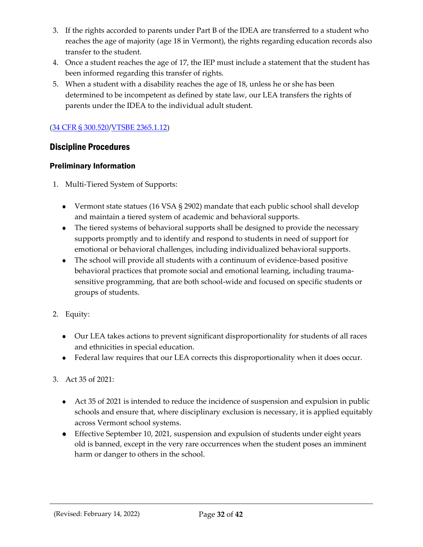- 3. If the rights accorded to parents under Part B of the IDEA are transferred to a student who reaches the age of majority (age 18 in Vermont), the rights regarding education records also transfer to the student.
- 4. Once a student reaches the age of 17, the IEP must include a statement that the student has been informed regarding this transfer of rights.
- 5. When a student with a disability reaches the age of 18, unless he or she has been determined to be incompetent as defined by state law, our LEA transfers the rights of parents under the IDEA to the individual adult student.

## [\(34 CFR § 300.520/](https://sites.ed.gov/idea/regs/b/e/300.520)[VTSBE 2365.1.12\)](https://education.vermont.gov/sites/aoe/files/documents/edu-series-2360-special-education-rules.pdf#page=134)

## <span id="page-31-0"></span>Discipline Procedures

#### <span id="page-31-1"></span>Preliminary Information

- 1. Multi-Tiered System of Supports:
	- Vermont state statues (16 VSA § 2902) mandate that each public school shall develop and maintain a tiered system of academic and behavioral supports.
	- The tiered systems of behavioral supports shall be designed to provide the necessary supports promptly and to identify and respond to students in need of support for emotional or behavioral challenges, including individualized behavioral supports.
	- The school will provide all students with a continuum of evidence-based positive behavioral practices that promote social and emotional learning, including traumasensitive programming, that are both school-wide and focused on specific students or groups of students.
- 2. Equity:
	- Our LEA takes actions to prevent significant disproportionality for students of all races and ethnicities in special education.
	- Federal law requires that our LEA corrects this disproportionality when it does occur.

#### 3. Act 35 of 2021:

- Act 35 of 2021 is intended to reduce the incidence of suspension and expulsion in public schools and ensure that, where disciplinary exclusion is necessary, it is applied equitably across Vermont school systems.
- Effective September 10, 2021, suspension and expulsion of students under eight years old is banned, except in the very rare occurrences when the student poses an imminent harm or danger to others in the school.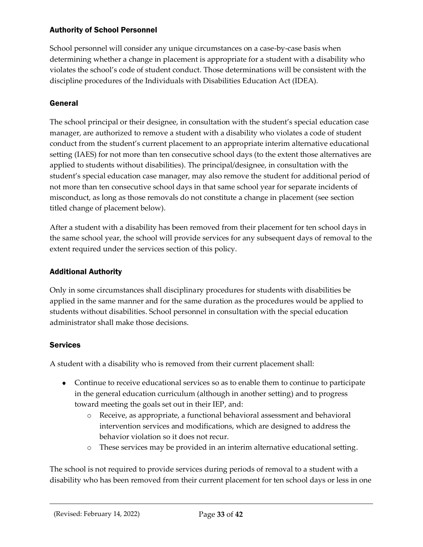#### <span id="page-32-0"></span>Authority of School Personnel

School personnel will consider any unique circumstances on a case-by-case basis when determining whether a change in placement is appropriate for a student with a disability who violates the school's code of student conduct. Those determinations will be consistent with the discipline procedures of the Individuals with Disabilities Education Act (IDEA).

## <span id="page-32-1"></span>General

The school principal or their designee, in consultation with the student's special education case manager, are authorized to remove a student with a disability who violates a code of student conduct from the student's current placement to an appropriate interim alternative educational setting (IAES) for not more than ten consecutive school days (to the extent those alternatives are applied to students without disabilities). The principal/designee, in consultation with the student's special education case manager, may also remove the student for additional period of not more than ten consecutive school days in that same school year for separate incidents of misconduct, as long as those removals do not constitute a change in placement (see section titled change of placement below).

After a student with a disability has been removed from their placement for ten school days in the same school year, the school will provide services for any subsequent days of removal to the extent required under the services section of this policy.

#### <span id="page-32-2"></span>Additional Authority

Only in some circumstances shall disciplinary procedures for students with disabilities be applied in the same manner and for the same duration as the procedures would be applied to students without disabilities. School personnel in consultation with the special education administrator shall make those decisions.

#### <span id="page-32-3"></span>**Services**

A student with a disability who is removed from their current placement shall:

- Continue to receive educational services so as to enable them to continue to participate in the general education curriculum (although in another setting) and to progress toward meeting the goals set out in their IEP, and:
	- o Receive, as appropriate, a functional behavioral assessment and behavioral intervention services and modifications, which are designed to address the behavior violation so it does not recur.
	- o These services may be provided in an interim alternative educational setting.

The school is not required to provide services during periods of removal to a student with a disability who has been removed from their current placement for ten school days or less in one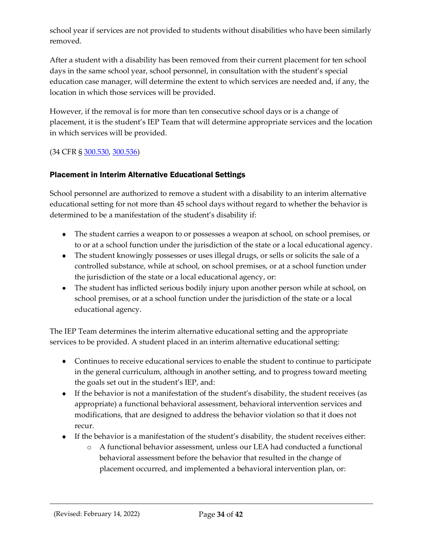school year if services are not provided to students without disabilities who have been similarly removed.

After a student with a disability has been removed from their current placement for ten school days in the same school year, school personnel, in consultation with the student's special education case manager, will determine the extent to which services are needed and, if any, the location in which those services will be provided.

However, if the removal is for more than ten consecutive school days or is a change of placement, it is the student's IEP Team that will determine appropriate services and the location in which services will be provided.

(34 CFR § [300.530,](https://sites.ed.gov/idea/regs/b/e/300.530) [300.536\)](https://sites.ed.gov/idea/regs/b/e/300.536)

#### <span id="page-33-0"></span>Placement in Interim Alternative Educational Settings

School personnel are authorized to remove a student with a disability to an interim alternative educational setting for not more than 45 school days without regard to whether the behavior is determined to be a manifestation of the student's disability if:

- The student carries a weapon to or possesses a weapon at school, on school premises, or to or at a school function under the jurisdiction of the state or a local educational agency.
- The student knowingly possesses or uses illegal drugs, or sells or solicits the sale of a controlled substance, while at school, on school premises, or at a school function under the jurisdiction of the state or a local educational agency, or:
- The student has inflicted serious bodily injury upon another person while at school, on school premises, or at a school function under the jurisdiction of the state or a local educational agency.

The IEP Team determines the interim alternative educational setting and the appropriate services to be provided. A student placed in an interim alternative educational setting:

- Continues to receive educational services to enable the student to continue to participate in the general curriculum, although in another setting, and to progress toward meeting the goals set out in the student's IEP, and:
- If the behavior is not a manifestation of the student's disability, the student receives (as appropriate) a functional behavioral assessment, behavioral intervention services and modifications, that are designed to address the behavior violation so that it does not recur.
- If the behavior is a manifestation of the student's disability, the student receives either:
	- o A functional behavior assessment, unless our LEA had conducted a functional behavioral assessment before the behavior that resulted in the change of placement occurred, and implemented a behavioral intervention plan, or: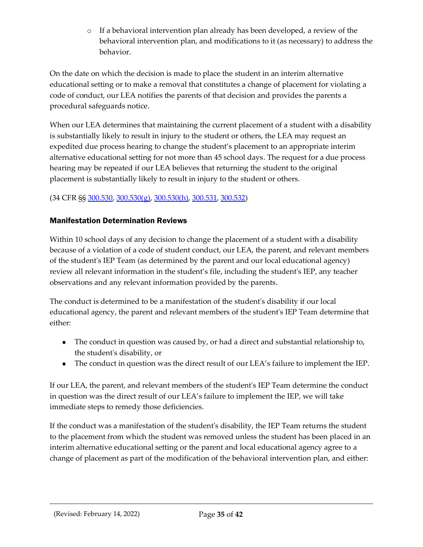o If a behavioral intervention plan already has been developed, a review of the behavioral intervention plan, and modifications to it (as necessary) to address the behavior.

On the date on which the decision is made to place the student in an interim alternative educational setting or to make a removal that constitutes a change of placement for violating a code of conduct, our LEA notifies the parents of that decision and provides the parents a procedural safeguards notice.

When our LEA determines that maintaining the current placement of a student with a disability is substantially likely to result in injury to the student or others, the LEA may request an expedited due process hearing to change the student's placement to an appropriate interim alternative educational setting for not more than 45 school days. The request for a due process hearing may be repeated if our LEA believes that returning the student to the original placement is substantially likely to result in injury to the student or others.

## (34 CFR §§ [300.530,](https://sites.ed.gov/idea/regs/b/e/300.530) [300.530\(g\),](https://sites.ed.gov/idea/regs/b/e/300.530/g) [300.530\(h\),](https://sites.ed.gov/idea/regs/b/e/300.530/h) [300.531,](https://sites.ed.gov/idea/regs/b/e/300.531) [300.532\)](https://sites.ed.gov/idea/regs/b/e/300.532)

#### <span id="page-34-0"></span>Manifestation Determination Reviews

Within 10 school days of any decision to change the placement of a student with a disability because of a violation of a code of student conduct, our LEA, the parent, and relevant members of the student's IEP Team (as determined by the parent and our local educational agency) review all relevant information in the student's file, including the student's IEP, any teacher observations and any relevant information provided by the parents.

The conduct is determined to be a manifestation of the student's disability if our local educational agency, the parent and relevant members of the student's IEP Team determine that either:

- The conduct in question was caused by, or had a direct and substantial relationship to, the student's disability, or
- The conduct in question was the direct result of our LEA's failure to implement the IEP.

If our LEA, the parent, and relevant members of the student's IEP Team determine the conduct in question was the direct result of our LEA's failure to implement the IEP, we will take immediate steps to remedy those deficiencies.

If the conduct was a manifestation of the student's disability, the IEP Team returns the student to the placement from which the student was removed unless the student has been placed in an interim alternative educational setting or the parent and local educational agency agree to a change of placement as part of the modification of the behavioral intervention plan, and either: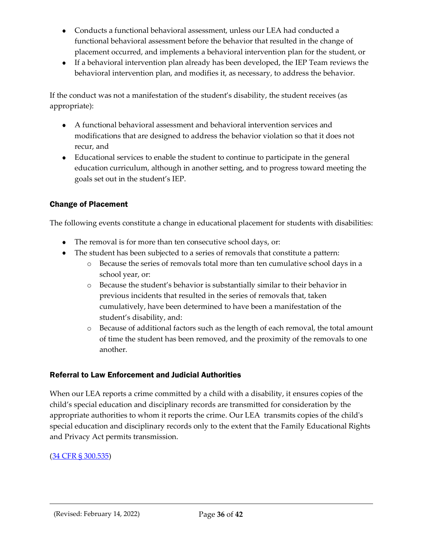- Conducts a functional behavioral assessment, unless our LEA had conducted a functional behavioral assessment before the behavior that resulted in the change of placement occurred, and implements a behavioral intervention plan for the student, or
- If a behavioral intervention plan already has been developed, the IEP Team reviews the behavioral intervention plan, and modifies it, as necessary, to address the behavior.

If the conduct was not a manifestation of the student's disability, the student receives (as appropriate):

- A functional behavioral assessment and behavioral intervention services and modifications that are designed to address the behavior violation so that it does not recur, and
- Educational services to enable the student to continue to participate in the general education curriculum, although in another setting, and to progress toward meeting the goals set out in the student's IEP.

## <span id="page-35-0"></span>Change of Placement

The following events constitute a change in educational placement for students with disabilities:

- The removal is for more than ten consecutive school days, or:
- The student has been subjected to a series of removals that constitute a pattern:
	- o Because the series of removals total more than ten cumulative school days in a school year, or:
	- o Because the student's behavior is substantially similar to their behavior in previous incidents that resulted in the series of removals that, taken cumulatively, have been determined to have been a manifestation of the student's disability, and:
	- o Because of additional factors such as the length of each removal, the total amount of time the student has been removed, and the proximity of the removals to one another.

#### <span id="page-35-1"></span>Referral to Law Enforcement and Judicial Authorities

When our LEA reports a crime committed by a child with a disability, it ensures copies of the child's special education and disciplinary records are transmitted for consideration by the appropriate authorities to whom it reports the crime. Our LEA transmits copies of the child's special education and disciplinary records only to the extent that the Family Educational Rights and Privacy Act permits transmission.

#### [\(34 CFR § 300.535\)](https://sites.ed.gov/idea/regs/b/e/300.535)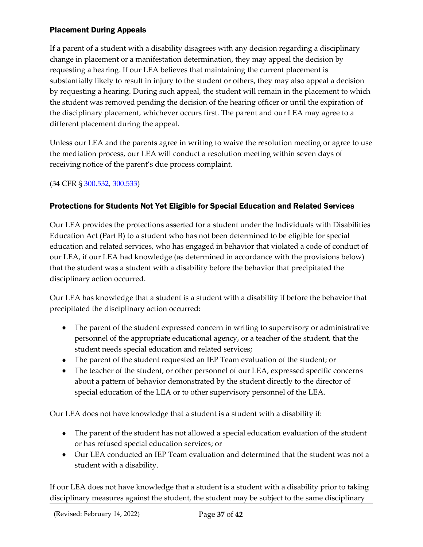#### <span id="page-36-0"></span>Placement During Appeals

If a parent of a student with a disability disagrees with any decision regarding a disciplinary change in placement or a manifestation determination, they may appeal the decision by requesting a hearing. If our LEA believes that maintaining the current placement is substantially likely to result in injury to the student or others, they may also appeal a decision by requesting a hearing. During such appeal, the student will remain in the placement to which the student was removed pending the decision of the hearing officer or until the expiration of the disciplinary placement, whichever occurs first. The parent and our LEA may agree to a different placement during the appeal.

Unless our LEA and the parents agree in writing to waive the resolution meeting or agree to use the mediation process, our LEA will conduct a resolution meeting within seven days of receiving notice of the parent's due process complaint.

#### (34 CFR § [300.532,](https://sites.ed.gov/idea/regs/b/e/300.532) [300.533\)](https://sites.ed.gov/idea/regs/b/e/300.533)

#### <span id="page-36-1"></span>Protections for Students Not Yet Eligible for Special Education and Related Services

Our LEA provides the protections asserted for a student under the Individuals with Disabilities Education Act (Part B) to a student who has not been determined to be eligible for special education and related services, who has engaged in behavior that violated a code of conduct of our LEA, if our LEA had knowledge (as determined in accordance with the provisions below) that the student was a student with a disability before the behavior that precipitated the disciplinary action occurred.

Our LEA has knowledge that a student is a student with a disability if before the behavior that precipitated the disciplinary action occurred:

- The parent of the student expressed concern in writing to supervisory or administrative personnel of the appropriate educational agency, or a teacher of the student, that the student needs special education and related services;
- The parent of the student requested an IEP Team evaluation of the student; or
- The teacher of the student, or other personnel of our LEA, expressed specific concerns about a pattern of behavior demonstrated by the student directly to the director of special education of the LEA or to other supervisory personnel of the LEA.

Our LEA does not have knowledge that a student is a student with a disability if:

- The parent of the student has not allowed a special education evaluation of the student or has refused special education services; or
- Our LEA conducted an IEP Team evaluation and determined that the student was not a student with a disability.

If our LEA does not have knowledge that a student is a student with a disability prior to taking disciplinary measures against the student, the student may be subject to the same disciplinary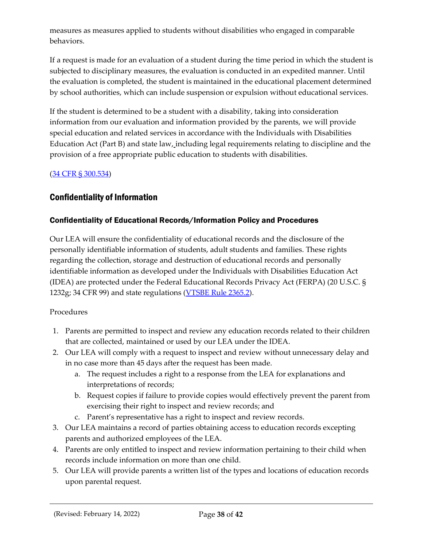measures as measures applied to students without disabilities who engaged in comparable behaviors.

If a request is made for an evaluation of a student during the time period in which the student is subjected to disciplinary measures, the evaluation is conducted in an expedited manner. Until the evaluation is completed, the student is maintained in the educational placement determined by school authorities, which can include suspension or expulsion without educational services.

If the student is determined to be a student with a disability, taking into consideration information from our evaluation and information provided by the parents, we will provide special education and related services in accordance with the Individuals with Disabilities Education Act (Part B) and state law, including legal requirements relating to discipline and the provision of a free appropriate public education to students with disabilities.

#### [\(34 CFR §](https://sites.ed.gov/idea/regs/b/e/300.534) 300.534)

## <span id="page-37-0"></span>Confidentiality of Information

#### <span id="page-37-1"></span>Confidentiality of Educational Records/Information Policy and Procedures

Our LEA will ensure the confidentiality of educational records and the disclosure of the personally identifiable information of students, adult students and families. These rights regarding the collection, storage and destruction of educational records and personally identifiable information as developed under the Individuals with Disabilities Education Act (IDEA) are protected under the Federal Educational Records Privacy Act (FERPA) (20 U.S.C. § 1232g; 34 CFR 99) and state regulations [\(VTSBE Rule](https://education.vermont.gov/sites/aoe/files/documents/edu-series-2360-special-education-rules.pdf#page=135) 2365.2).

#### Procedures

- 1. Parents are permitted to inspect and review any education records related to their children that are collected, maintained or used by our LEA under the IDEA.
- 2. Our LEA will comply with a request to inspect and review without unnecessary delay and in no case more than 45 days after the request has been made.
	- a. The request includes a right to a response from the LEA for explanations and interpretations of records;
	- b. Request copies if failure to provide copies would effectively prevent the parent from exercising their right to inspect and review records; and
	- c. Parent's representative has a right to inspect and review records.
- 3. Our LEA maintains a record of parties obtaining access to education records excepting parents and authorized employees of the LEA.
- 4. Parents are only entitled to inspect and review information pertaining to their child when records include information on more than one child.
- 5. Our LEA will provide parents a written list of the types and locations of education records upon parental request.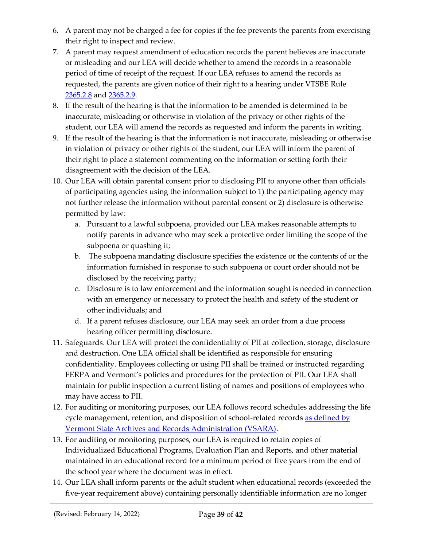- 6. A parent may not be charged a fee for copies if the fee prevents the parents from exercising their right to inspect and review.
- 7. A parent may request amendment of education records the parent believes are inaccurate or misleading and our LEA will decide whether to amend the records in a reasonable period of time of receipt of the request. If our LEA refuses to amend the records as requested, the parents are given notice of their right to a hearing under VTSBE [Rule](https://education.vermont.gov/sites/aoe/files/documents/edu-series-2360-special-education-rules.pdf#page=138)  [2365.2.8](https://education.vermont.gov/sites/aoe/files/documents/edu-series-2360-special-education-rules.pdf#page=138) and [2365.2.9.](https://education.vermont.gov/sites/aoe/files/documents/edu-series-2360-special-education-rules.pdf#page=138)
- 8. If the result of the hearing is that the information to be amended is determined to be inaccurate, misleading or otherwise in violation of the privacy or other rights of the student, our LEA will amend the records as requested and inform the parents in writing.
- 9. If the result of the hearing is that the information is not inaccurate, misleading or otherwise in violation of privacy or other rights of the student, our LEA will inform the parent of their right to place a statement commenting on the information or setting forth their disagreement with the decision of the LEA.
- 10. Our LEA will obtain parental consent prior to disclosing PII to anyone other than officials of participating agencies using the information subject to 1) the participating agency may not further release the information without parental consent or 2) disclosure is otherwise permitted by law:
	- a. Pursuant to a lawful subpoena, provided our LEA makes reasonable attempts to notify parents in advance who may seek a protective order limiting the scope of the subpoena or quashing it;
	- b. The subpoena mandating disclosure specifies the existence or the contents of or the information furnished in response to such subpoena or court order should not be disclosed by the receiving party;
	- c. Disclosure is to law enforcement and the information sought is needed in connection with an emergency or necessary to protect the health and safety of the student or other individuals; and
	- d. If a parent refuses disclosure, our LEA may seek an order from a due process hearing officer permitting disclosure.
- 11. Safeguards. Our LEA will protect the confidentiality of PII at collection, storage, disclosure and destruction. One LEA official shall be identified as responsible for ensuring confidentiality. Employees collecting or using PII shall be trained or instructed regarding FERPA and Vermont's policies and procedures for the protection of PII. Our LEA shall maintain for public inspection a current listing of names and positions of employees who may have access to PII.
- 12. For auditing or monitoring purposes, our LEA follows record schedules addressing the life cycle management, retention, and disposition of school-related records as defined by [Vermont State Archives and Records Administration \(VSARA\).](https://sos.vermont.gov/vsara/manage/retention-disposition/agency-record-schedules)
- 13. For auditing or monitoring purposes, our LEA is required to retain copies of Individualized Educational Programs, Evaluation Plan and Reports, and other material maintained in an educational record for a minimum period of five years from the end of the school year where the document was in effect.
- 14. Our LEA shall inform parents or the adult student when educational records (exceeded the five-year requirement above) containing personally identifiable information are no longer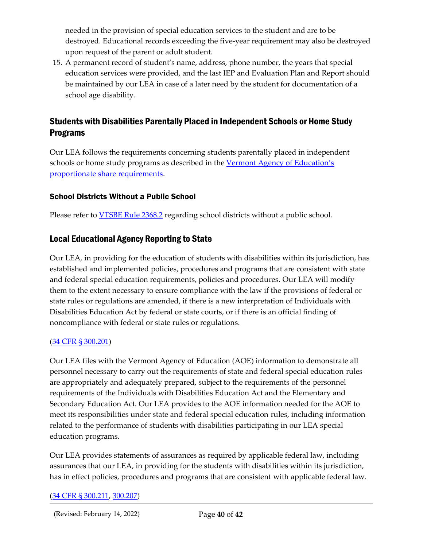needed in the provision of special education services to the student and are to be destroyed. Educational records exceeding the five-year requirement may also be destroyed upon request of the parent or adult student.

15. A permanent record of student's name, address, phone number, the years that special education services were provided, and the last IEP and Evaluation Plan and Report should be maintained by our LEA in case of a later need by the student for documentation of a school age disability.

## <span id="page-39-0"></span>Students with Disabilities Parentally Placed in Independent Schools or Home Study Programs

Our LEA follows the requirements concerning students parentally placed in independent schools or home study programs as described in the Vermont Agency of Education's [proportionate share requirements.](https://education.vermont.gov/sites/aoe/files/documents/edu-proportionate-share-requirements-2021_0.pdf)

#### <span id="page-39-1"></span>School Districts Without a Public School

Please refer to [VTSBE Rule 2368.2](https://education.vermont.gov/sites/aoe/files/documents/edu-series-2360-special-education-rules.pdf#%5B%7B%22num%22%3A342%2C%22gen%22%3A0%7D%2C%7B%22name%22%3A%22Fit%22%7D%5D) regarding school districts without a public school.

## <span id="page-39-2"></span>Local Educational Agency Reporting to State

Our LEA, in providing for the education of students with disabilities within its jurisdiction, has established and implemented policies, procedures and programs that are consistent with state and federal special education requirements, policies and procedures. Our LEA will modify them to the extent necessary to ensure compliance with the law if the provisions of federal or state rules or regulations are amended, if there is a new interpretation of Individuals with Disabilities Education Act by federal or state courts, or if there is an official finding of noncompliance with federal or state rules or regulations.

#### [\(34 CFR §](https://sites.ed.gov/idea/regs/b/c/300.201) 300.201)

Our LEA files with the Vermont Agency of Education (AOE) information to demonstrate all personnel necessary to carry out the requirements of state and federal special education rules are appropriately and adequately prepared, subject to the requirements of the personnel requirements of the Individuals with Disabilities Education Act and the Elementary and Secondary Education Act. Our LEA provides to the AOE information needed for the AOE to meet its responsibilities under state and federal special education rules, including information related to the performance of students with disabilities participating in our LEA special education programs.

Our LEA provides statements of assurances as required by applicable federal law, including assurances that our LEA, in providing for the students with disabilities within its jurisdiction, has in effect policies, procedures and programs that are consistent with applicable federal law.

#### [\(34 CFR §](https://sites.ed.gov/idea/regs/b/c/300.211) 300.211, [300.207\)](https://sites.ed.gov/idea/regs/b/c/300.207)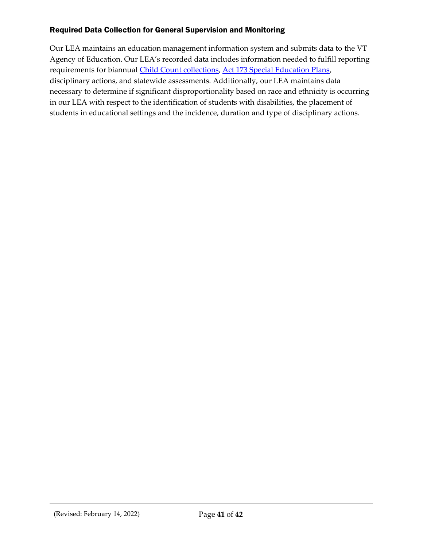## <span id="page-40-0"></span>Required Data Collection for General Supervision and Monitoring

Our LEA maintains an education management information system and submits data to the VT Agency of Education. Our LEA's recorded data includes information needed to fulfill reporting requirements for biannual [Child Count collections,](https://education.vermont.gov/calendar/child-count) [Act 173 Special Education Plans,](https://education.vermont.gov/student-support/vermont-special-education/funding) disciplinary actions, and statewide assessments. Additionally, our LEA maintains data necessary to determine if significant disproportionality based on race and ethnicity is occurring in our LEA with respect to the identification of students with disabilities, the placement of students in educational settings and the incidence, duration and type of disciplinary actions.